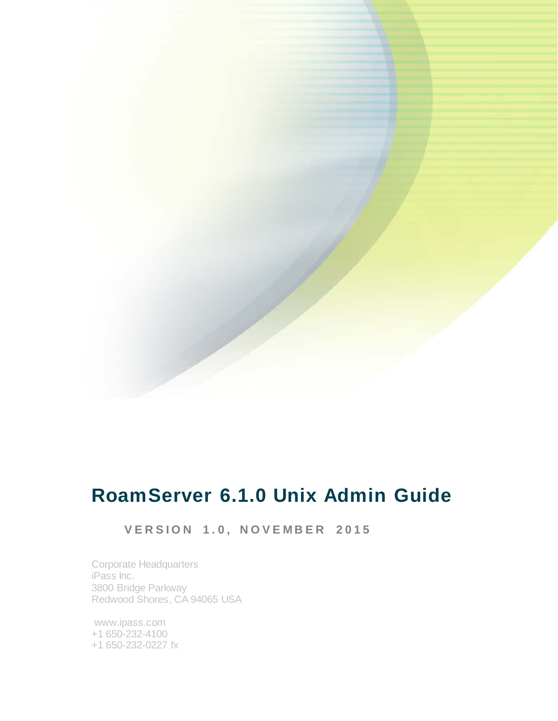

## **RoamServer 6.1.0 Unix Admin Guide**

## **VERSION 1 . 0 , N OVEMBER 2015**

Corporate Headquarters iPass Inc. 3800 Bridge Parkway Redwood Shores, CA 94065 USA

www.ipass.com +1 650-232-4100 +1 650-232-0227 fx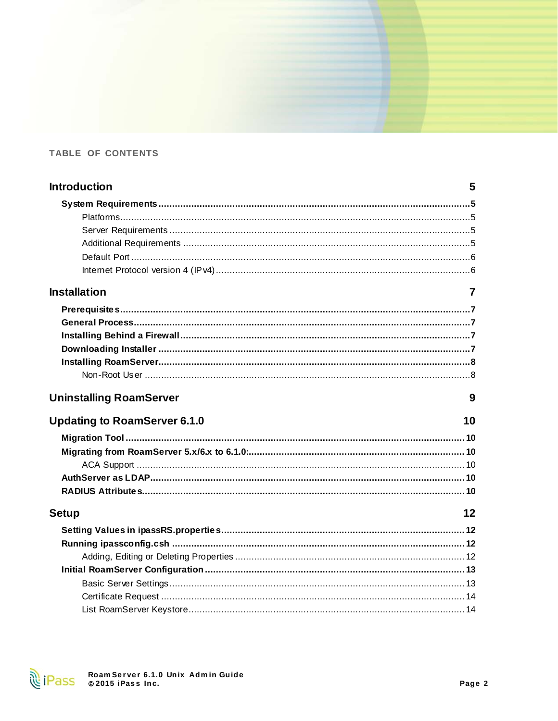### TABLE OF CONTENTS

| <b>Introduction</b>                 | 5  |
|-------------------------------------|----|
|                                     |    |
|                                     |    |
|                                     |    |
|                                     |    |
|                                     |    |
|                                     |    |
| <b>Installation</b>                 | 7  |
|                                     |    |
|                                     |    |
|                                     |    |
|                                     |    |
|                                     |    |
|                                     |    |
| <b>Uninstalling RoamServer</b>      | 9  |
| <b>Updating to RoamServer 6.1.0</b> | 10 |
|                                     |    |
|                                     |    |
|                                     |    |
|                                     |    |
|                                     |    |
| <b>Setup</b>                        | 12 |
|                                     |    |
|                                     |    |
|                                     |    |
|                                     |    |
|                                     |    |
|                                     |    |
|                                     |    |

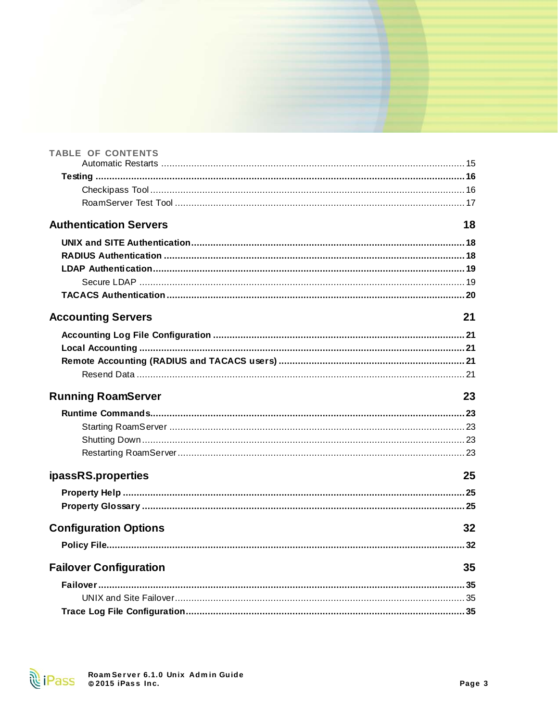| <b>TABLE OF CONTENTS</b>      |    |
|-------------------------------|----|
|                               |    |
|                               |    |
|                               |    |
|                               |    |
| <b>Authentication Servers</b> | 18 |
|                               |    |
|                               |    |
|                               |    |
|                               |    |
|                               |    |
| <b>Accounting Servers</b>     | 21 |
|                               |    |
|                               |    |
|                               |    |
|                               |    |
|                               |    |
| <b>Running RoamServer</b>     | 23 |
|                               |    |
|                               |    |
|                               |    |
|                               |    |
| ipassRS.properties            | 25 |
|                               |    |
|                               |    |
|                               |    |
|                               | 32 |
| <b>Configuration Options</b>  |    |
|                               |    |
| <b>Failover Configuration</b> | 35 |
|                               |    |
|                               |    |

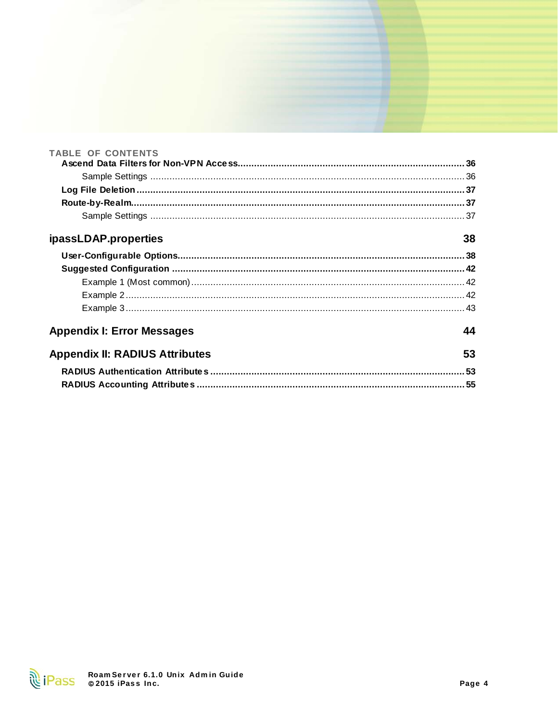| <b>TABLE OF CONTENTS</b>              |    |
|---------------------------------------|----|
|                                       |    |
|                                       |    |
|                                       |    |
|                                       |    |
|                                       |    |
| ipassLDAP.properties                  | 38 |
|                                       |    |
|                                       |    |
|                                       |    |
|                                       |    |
|                                       |    |
| <b>Appendix I: Error Messages</b>     | 44 |
| <b>Appendix II: RADIUS Attributes</b> | 53 |
|                                       |    |

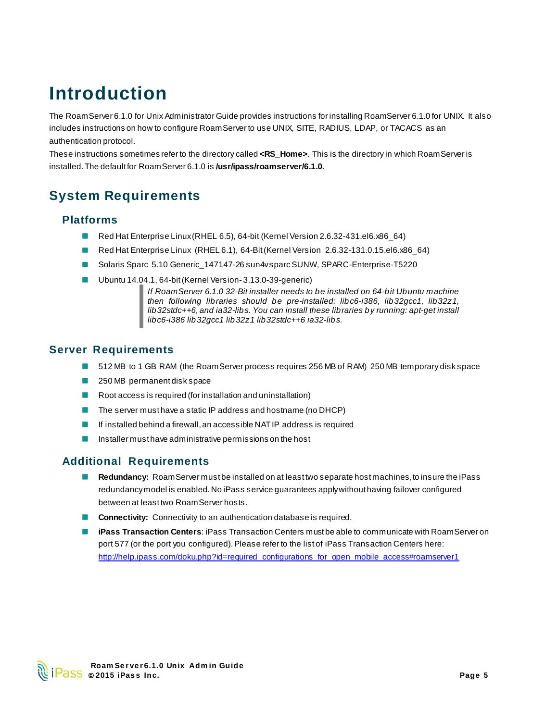# **Introduction**

The RoamServer 6.1.0 for Unix Administrator Guide provides instructions for installing RoamServer 6.1.0 for UNIX. It also includes instructions on how to configure RoamServer to use UNIX, SITE, RADIUS, LDAP, or TACACS as an authentication protocol.

These instructions sometimes refer to the directory called **<RS\_Home>**. This is the directory in which RoamServer is installed. The default for RoamServer 6.1.0 is **/usr/ipass/roamserver/6.1.0**.

## **System Requirements**

#### **Platforms**

- p. Red Hat Enterprise Linux (RHEL 6.5), 64-bit (Kernel Version 2.6.32-431.el6.x86\_64)
- Red Hat Enterprise Linux (RHEL 6.1), 64-Bit (Kernel Version 2.6.32-131.0.15.el6.x86\_64)  $\mathbb{R}^3$
- Solaris Sparc 5.10 Generic\_147147-26 sun4v sparc SUNW, SPARC-Enterprise-T5220 B
- Ubuntu 14.04.1, 64-bit (Kernel Version- 3.13.0-39-generic)

*If RoamServer 6.1.0 32-Bit installer needs to be installed on 64-bit Ubuntu machine then following libraries should be pre-installed: libc6-i386, lib32gcc1, lib32z1, lib32stdc++6, and ia32-libs. You can install these libraries by running: apt-get install libc6-i386 lib32gcc1 lib32z1 lib32stdc++6 ia32-libs.*

#### **Server Requirements**

- **512 MB to 1 GB RAM (the RoamServer process requires 256 MB of RAM) 250 MB temporary disk space**
- **250 MB** permanent disk space
- Root access is required (for installation and uninstallation)
- $\mathbb{R}^3$ The server must have a static IP address and hostname (no DHCP)
- $\blacksquare$  If installed behind a firewall, an accessible NAT IP address is required
- $\blacksquare$  Installer must have administrative permissions on the host

#### **Additional Requirements**

- **Redundancy:** RoamServer must be installed on at least two separate host machines, to insure the iPass 9. redundancy model is enabled. No iPass service guarantees apply without having failover configured between at least two RoamServer hosts.
- **Connectivity:** Connectivity to an authentication database is required.
- **iPass Transaction Centers**: iPass Transaction Centers must be able to communicate with RoamServer on port 577 (or the port you configured). Please refer to the list of iPass Transaction Centers here: [http://help.ipass.com/doku.php?id=required\\_configurations\\_for\\_open\\_mobile\\_access#roamserver1](http://help.ipass.com/doku.php?id=required_configurations_for_open_mobile_access#roamserver1)

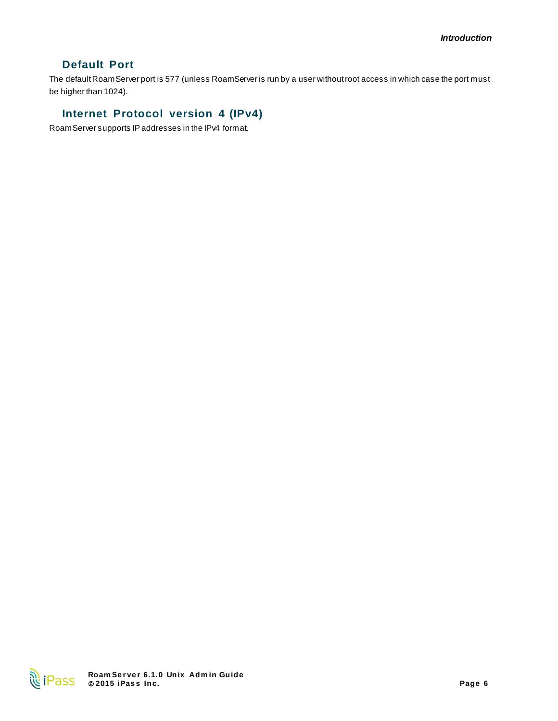#### **Default Port**

The default RoamServer port is 577 (unless RoamServer is run by a user without root access in which case the port must be higher than 1024).

### **Internet Protocol version 4 (IPv4)**

RoamServer supports IP addresses in the IPv4 format.

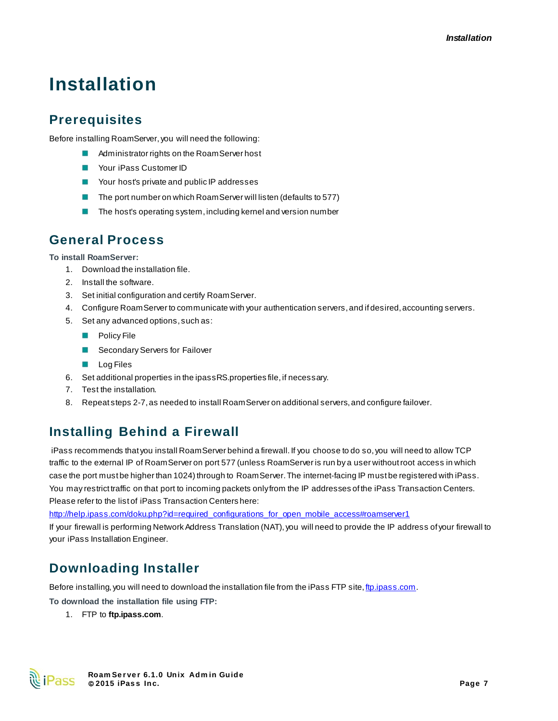## **Installation**

## **Prerequisites**

Before installing RoamServer, you will need the following:

- **C** Administrator rights on the RoamServer host
- **Nour iPass Customer ID**
- B Your host's private and public IP addresses
- B The port number on which RoamServer will listen (defaults to 577)
- D The host's operating system, including kernel and version number

### **General Process**

**To install RoamServer:**

- 1. Download the installation file.
- 2. Install the software.
- 3. Set initial configuration and certify RoamServer.
- 4. Configure RoamServer to communicate with your authentication servers, and if desired, accounting servers.
- 5. Set any advanced options, such as:
	- **B** Policy File
	- $\Box$ Secondary Servers for Failover
	- $\mathbb{R}^n$ Log Files
- 6. Set additional properties in the ipassRS.properties file, if necessary.
- 7. Test the installation.
- 8. Repeat steps 2-7, as needed to install RoamServer on additional servers, and configure failover.

## **Installing Behind a Firewall**

iPass recommends that you install RoamServer behind a firewall. If you choose to do so, you will need to allow TCP traffic to the external IP of RoamServer on port 577 (unless RoamServer is run by a user without root access in which case the port must be higher than 1024) through to RoamServer. The internet-facing IP must be registered with iPass. You may restrict traffic on that port to incoming packets only from the IP addresses of the iPass Transaction Centers. Please refer to the list of iPass Transaction Centers here:

[http://help.ipass.com/doku.php?id=required\\_configurations\\_for\\_open\\_mobile\\_access#roamserver1](http://help.ipass.com/doku.php?id=required_configurations_for_open_mobile_access#roamserver1)

If your firewall is performing Network Address Translation (NAT), you will need to provide the IP address of your firewall to your iPass Installation Engineer.

## **Downloading Installer**

Before installing, you will need to download the installation file from the iPass FTP site[, ftp.ipass.com](ftp://ftp.ipass.com/).

**To download the installation file using FTP:**

1. FTP to **ftp.ipass.com**.

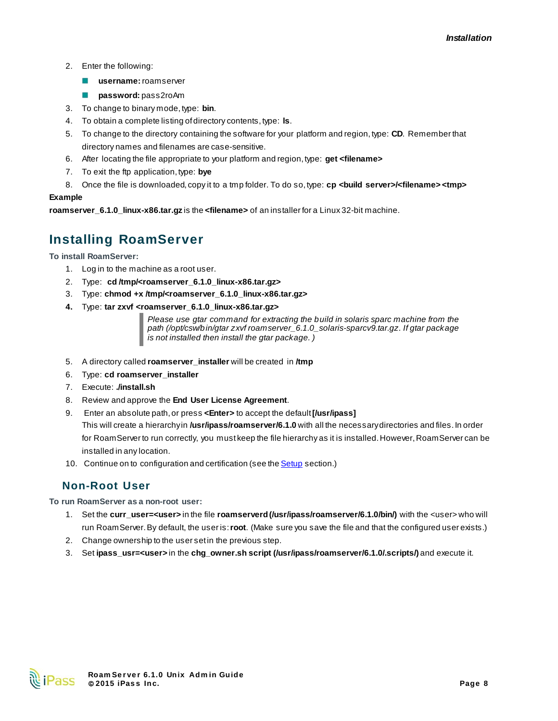- 2. Enter the following:
	- **I username:** roamserver
	- <u>ra</u> **password:** pass2roAm
- 3. To change to binary mode, type: **bin**.
- 4. To obtain a complete listing of directory contents, type: **ls**.
- 5. To change to the directory containing the software for your platform and region, type: **CD**. Remember that directory names and filenames are case-sensitive.
- 6. After locating the file appropriate to your platform and region, type: **get <filename>**
- 7. To exit the ftp application, type: **bye**
- 8. Once the file is downloaded, copy it to a tmp folder. To do so, type: **cp <build server>/<filename> <tmp>**

#### **Example**

**roamserver\_6.1.0\_linux-x86.tar.gz** is the **<filename>** of an installer for a Linux 32-bit machine.

## **Installing RoamServer**

**To install RoamServer:**

- 1. Log in to the machine as a root user.
- 2. Type: **cd /tmp/<roamserver\_6.1.0\_linux-x86.tar.gz>**
- 3. Type: **chmod +x /tmp/<roamserver\_6.1.0\_linux-x86.tar.gz>**
- **4.** Type: **tar zxvf <roamserver\_6.1.0\_linux-x86.tar.gz>**

*Please use gtar command for extracting the build in solaris sparc machine from the path (/opt/csw/bin/gtar zxvf roamserver\_6.1.0\_solaris-sparcv9.tar.gz. If gtar package is not installed then install the gtar package. )*

- 5. A directory called **roamserver\_installer** will be created in **/tmp**
- 6. Type: **cd roamserver\_installer**
- 7. Execute: **./install.sh**
- 8. Review and approve the **End User License Agreement**.
- 9. Enter an absolute path, or press **<Enter>** to accept the default **[/usr/ipass]** This will create a hierarchy in **/usr/ipass/roamserver/6.1.0** with all the necessary directories and files. In order for RoamServer to run correctly, you must keep the file hierarchy as it is installed. However, RoamServer can be installed in any location.
- 10. Continue on to configuration and certification (see th[e Setup](#page-11-0) section.)

### **Non-Root User**

**To run RoamServer as a non-root user:**

- 1. Set the **curr\_user=<user>** in the file **roamserverd (/usr/ipass/roamserver/6.1.0/bin/)** with the <user> who will run RoamServer. By default, the user is: **root**. (Make sure you save the file and that the configured user exists.)
- 2. Change ownership to the user set in the previous step.
- 3. Set **ipass\_usr=<user>** in the **chg\_owner.sh script (/usr/ipass/roamserver/6.1.0/.scripts/)** and execute it.

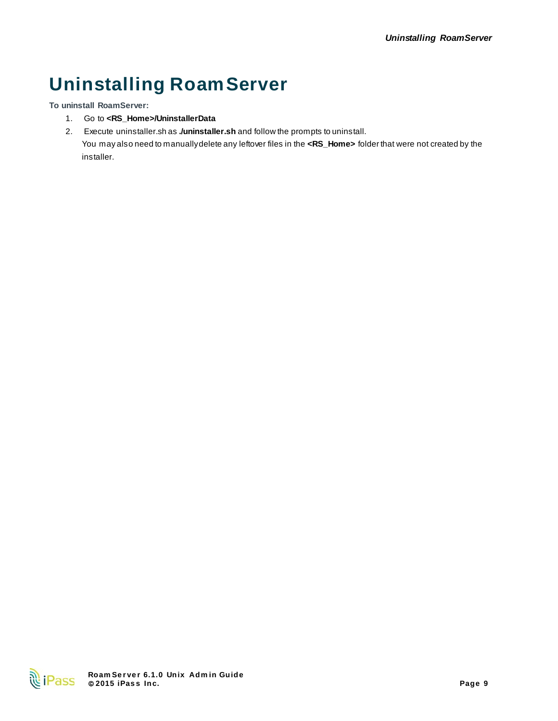# **Uninstalling RoamServer**

**To uninstall RoamServer:**

- 1. Go to **<RS\_Home>/UninstallerData**
- 2. Execute uninstaller.sh as **./uninstaller.sh** and follow the prompts to uninstall.

You may also need to manually delete any leftover files in the **<RS\_Home>** folder that were not created by the installer.

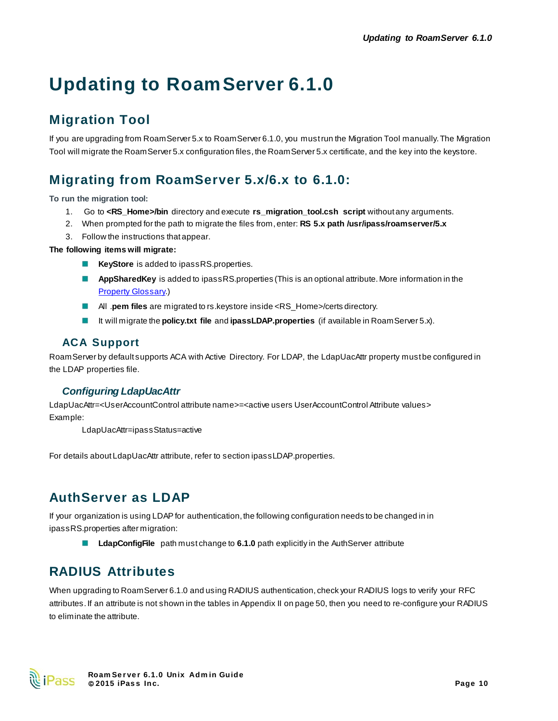# **Updating to RoamServer 6.1.0**

## **Migration Tool**

If you are upgrading from RoamServer 5.x to RoamServer 6.1.0, you must run the Migration Tool manually. The Migration Tool will migrate the RoamServer 5.x configuration files, the RoamServer 5.x certificate, and the key into the keystore.

## **Migrating from RoamServer 5.x/6.x to 6.1.0:**

**To run the migration tool:**

- 1. Go to **<RS\_Home>/bin** directory and execute **rs\_migration\_tool.csh script** without any arguments.
- 2. When prompted for the path to migrate the files from, enter: **RS 5.x path /usr/ipass/roamserver/5.x**
- 3. Follow the instructions that appear.

#### **The following items will migrate:**

- **KeyStore** is added to ipassRS.properties.
- **AppSharedKey** is added to ipassRS.properties (This is an optional attribute. More information in the [Property Glossary.](#page-24-0))
- All .**pem files** are migrated to rs.keystore inside <RS\_Home>/certs directory.
- It will migrate the **policy.txt file** and **ipassLDAP.properties** (if available in RoamServer 5.x).

#### **ACA Support**

RoamServer by default supports ACA with Active Directory. For LDAP, the LdapUacAttr property must be configured in the LDAP properties file.

#### *Configuring LdapUacAttr*

LdapUacAttr=<UserAccountControl attribute name>=<active users UserAccountControl Attribute values> Example:

LdapUacAttr=ipassStatus=active

For details about LdapUacAttr attribute, refer to section ipassLDAP.properties.

## **AuthServer as LDAP**

If your organization is using LDAP for authentication, the following configuration needs to be changed in in ipassRS.properties after migration:

**LdapConfigFile** path must change to **6.1.0** path explicitly in the AuthServer attribute B

### **RADIUS Attributes**

When upgrading to RoamServer 6.1.0 and using RADIUS authentication, check your RADIUS logs to verify your RFC attributes. If an attribute is not shown in the tables in Appendix II on page 50, then you need to re-configure your RADIUS to eliminate the attribute.

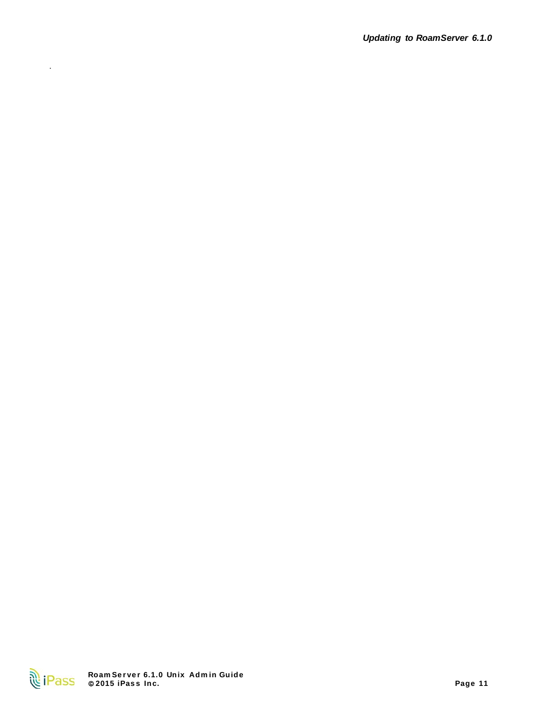

.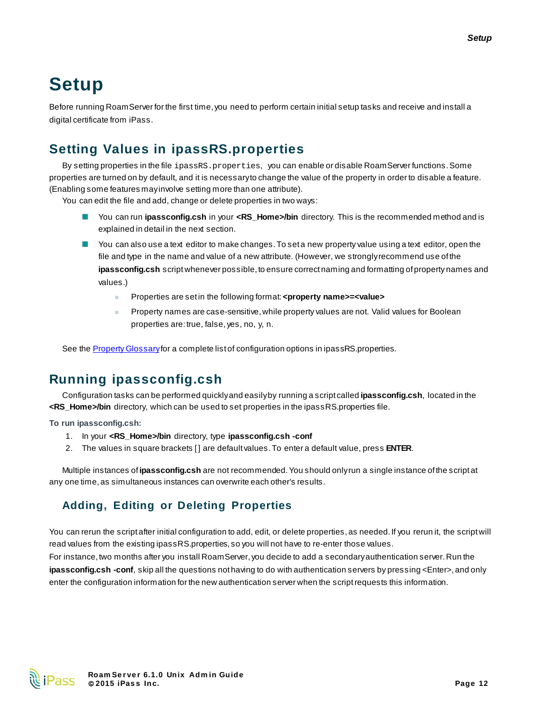# **Setup**

Before running RoamServer for the first time, you need to perform certain initial setup tasks and receive and install a digital certificate from iPass.

## <span id="page-11-0"></span>**Setting Values in ipassRS.properties**

By setting properties in the file ipassRS.properties, you can enable or disable RoamServer functions. Some properties are turned on by default, and it is necessary to change the value of the property in order to disable a feature. (Enabling some features may involve setting more than one attribute).

You can edit the file and add, change or delete properties in two ways:

- B You can run **ipassconfig.csh** in your <RS\_Home>/bin directory. This is the recommended method and is explained in detail in the next section.
- **D** You can also use a text editor to make changes. To set a new property value using a text editor, open the file and type in the name and value of a new attribute. (However, we strongly recommend use of the **ipassconfig.csh** script whenever possible, to ensure correct naming and formatting of property names and values.)
	- **Properties are set in the following format: <property name>=<value>**
	- **Property names are case-sensitive, while property values are not. Valid values for Boolean** properties are: true, false, yes, no, y, n.

See the [Property Glossary](#page-24-0) for a complete list of configuration options in ipassRS.properties.

## **Running ipassconfig.csh**

Configuration tasks can be performed quickly and easily by running a script called **ipassconfig.csh**, located in the **<RS\_Home>/bin** directory, which can be used to set properties in the ipassRS.properties file.

**To run ipassconfig.csh:**

- 1. In your **<RS\_Home>/bin** directory, type **ipassconfig.csh -conf**
- 2. The values in square brackets [ ] are default values. To enter a default value, press **ENTER**.

Multiple instances of **ipassconfig.csh** are not recommended. You should only run a single instance of the script at any one time, as simultaneous instances can overwrite each other's results.

### **Adding, Editing or Deleting Properties**

You can rerun the script after initial configuration to add, edit, or delete properties, as needed. If you rerun it, the script will read values from the existing ipassRS.properties, so you will not have to re-enter those values.

For instance, two months after you install RoamServer, you decide to add a secondary authentication server. Run the **ipassconfig.csh -conf**, skip all the questions not having to do with authentication servers by pressing <Enter>, and only enter the configuration information for the new authentication server when the script requests this information.

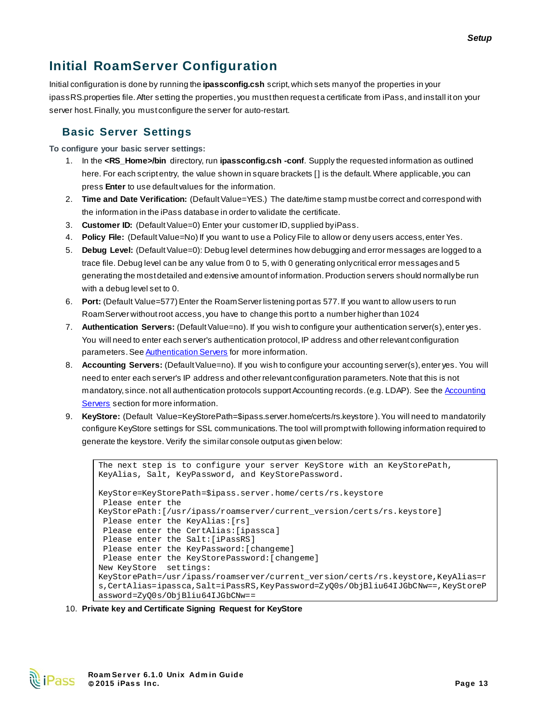## **Initial RoamServer Configuration**

Initial configuration is done by running the **ipassconfig.csh** script, which sets many of the properties in your ipassRS.properties file. After setting the properties, you must then request a certificate from iPass, and install it on your server host. Finally, you must configure the server for auto-restart.

#### **Basic Server Settings**

**To configure your basic server settings:**

- 1. In the **<RS\_Home>/bin** directory, run **ipassconfig.csh -conf**. Supply the requested information as outlined here. For each script entry, the value shown in square brackets [] is the default. Where applicable, you can press **Enter** to use default values for the information.
- 2. **Time and Date Verification:** (Default Value=YES.) The date/time stamp must be correct and correspond with the information in the iPass database in order to validate the certificate.
- 3. **Customer ID:** (Default Value=0) Enter your customer ID, supplied by iPass.
- 4. **Policy File:** (Default Value=No) If you want to use a Policy File to allow or deny users access, enter Yes.
- 5. **Debug Level:** (Default Value=0): Debug level determines how debugging and error messages are logged to a trace file. Debug level can be any value from 0 to 5, with 0 generating only critical error messages and 5 generating the most detailed and extensive amount of information. Production servers should normally be run with a debug level set to 0.
- 6. **Port:** (Default Value=577) Enter the RoamServer listening port as 577. If you want to allow users to run RoamServer without root access, you have to change this port to a number higher than 1024
- 7. **Authentication Servers:** (Default Value=no). If you wish to configure your authentication server(s), enter yes. You will need to enter each server's authentication protocol, IP address and other relevant configuration parameters. Se[e Authentication Servers](#page-17-0) for more information.
- 8. **Accounting Servers:** (Default Value=no). If you wish to configure your accounting server(s), enter yes. You will need to enter each server's IP address and other relevant configuration parameters. Note that this is not mandatory, since. not all authentication protocols support Accounting records. (e.g. LDAP). See the Accounting [Servers](#page-20-0) section for more information.
- 9. **KeyStore:** (Default Value=KeyStorePath=\$ipass.server.home/certs/rs.keystore ). You will need to mandatorily configure KeyStore settings for SSL communications. The tool will prompt with following information required to generate the keystore. Verify the similar console output as given below:

```
The next step is to configure your server KeyStore with an KeyStorePath,
KeyAlias, Salt, KeyPassword, and KeyStorePassword.
KeyStore=KeyStorePath=$ipass.server.home/certs/rs.keystore
Please enter the 
KeyStorePath:[/usr/ipass/roamserver/current_version/certs/rs.keystore]
Please enter the KeyAlias:[rs]
 Please enter the CertAlias:[ipassca]
 Please enter the Salt: [iPassRS]
 Please enter the KeyPassword:[changeme]
 Please enter the KeyStorePassword:[changeme]
New KeyStore settings: 
KeyStorePath=/usr/ipass/roamserver/current_version/certs/rs.keystore,KeyAlias=r
s,CertAlias=ipassca,Salt=iPassRS,KeyPassword=ZyQ0s/ObjBliu64IJGbCNw==,KeyStoreP
assword=ZyQ0s/ObjBliu64IJGbCNw==
```
10. **Private key and Certificate Signing Request for KeyStore**

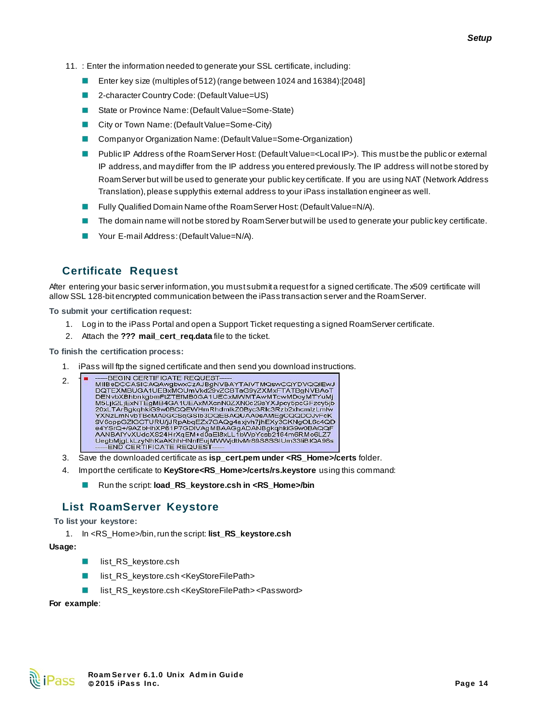- 11. : Enter the information needed to generate your SSL certificate, including:
	- D Enter key size (multiples of 512) (range between 1024 and 16384):[2048]
	- D 2-character Country Code: (Default Value=US)
	- p. State or Province Name: (Default Value=Some-State)
	- City or Town Name: (Default Value=Some-City)
	- Company or Organization Name: (Default Value=Some-Organization)
	- Public IP Address of the RoamServer Host: (Default Value=<Local IP>). This must be the public or external IP address, and may differ from the IP address you entered previously. The IP address will not be stored by RoamServer but will be used to generate your public key certificate. If you are using NAT (Network Address Translation), please supply this external address to your iPass installation engineer as well.
	- Fully Qualified Domain Name of the Roam Server Host: (Default Value=N/A).
	- D The domain name will not be stored by RoamServer but will be used to generate your public key certificate.
	- p. Your E-mail Address: (Default Value=N/A).

### **Certificate Request**

After entering your basic server information, you must submit a request for a signed certificate. The x509 certificate will allow SSL 128-bit encrypted communication between the iPass transaction server and the RoamServer.

**To submit your certification request:**

- 1. Log in to the iPass Portal and open a Support Ticket requesting a signed RoamServer certificate.
- 2. Attach the **??? mail\_cert\_req.data** file to the ticket.

**To finish the certification process:**

- 1. iPass will ftp the signed certificate and then send you download instructions.
- 2. The content of the content of the content of the content of the content of the content of the content of content of content of content of certification of the content of the content of the content of the certification o M5Ljk2LjExNTEgMB4GA1UEAxMXcnN0ZXN0c29sYXJpcy5pcGFzcy5jb<br>20xLTArBgkghkiG9w0BCQEWHmRhdmlkZ0Byc3Rlc3Rzb2xhcmlzLmlw -2002 - MESSING CONSULTANT CONTRACT AND CONSULTANT CONTRACT CONTRACT SUBSERVED ON THE SUBSERVED ON THE SUBSERVED ON THE SUBSERVED ON THE SUBSERVED ON THE SUBSERVED ON THE SUBSERVED ON THE SUBSERVED ON THE SUBSERVED ON THE AANBAIYvXUdcXS24HrXqEM+d0aEl8xLL1bWpYcsb2164m6RMo6LZ7<br>UegbMjgLkLzyNhKaAKhhHNnfEujMWWjdtlvMr89S8SSIUm33liBIQA98s<br>----END CERTIFICATE REQUEST----
- 3. Save the downloaded certificate as **isp\_cert.pem under <RS\_Home>/certs** folder.
- 4. Import the certificate to **KeyStore<RS\_Home>/certs/rs.keystore** using this command:
	- Run the script: **load\_RS\_keystore.csh in <RS\_Home>/bin**

### **List RoamServer Keystore**

 **To list your keystore:**

1. In <RS\_Home>/bin, run the script: **list\_RS\_keystore.csh**

#### **Usage:**

- B list\_RS\_keystore.csh
- B list\_RS\_keystore.csh <KeyStoreFilePath>
- × list\_RS\_keystore.csh <KeyStoreFilePath> <Password>

**For example**:

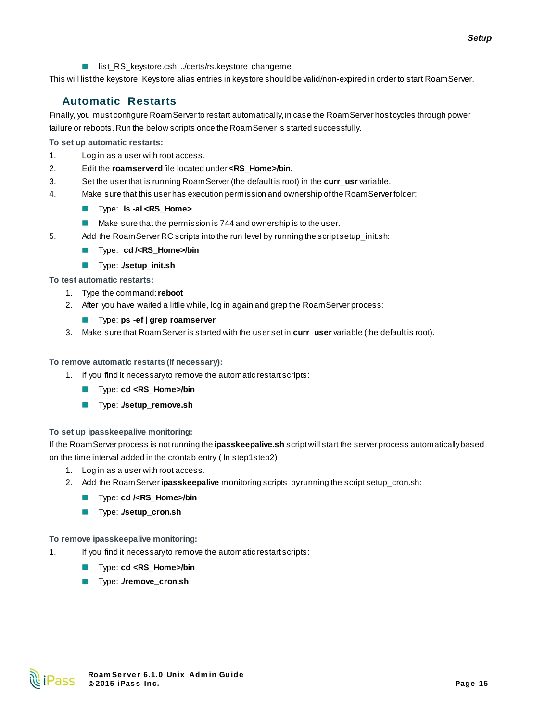p. list\_RS\_keystore.csh ../certs/rs.keystore changeme

This will list the keystore. Keystore alias entries in keystore should be valid/non-expired in order to start RoamServer.

#### **Automatic Restarts**

Finally, you must configure RoamServer to restart automatically, in case the RoamServer host cycles through power failure or reboots. Run the below scripts once the RoamServer is started successfully.

**To set up automatic restarts:**

- 1. Log in as a user with root access.
- 2. Edit the **roamserverd**file located under **<RS\_Home>/bin**.
- 3. Set the user that is running RoamServer (the default is root) in the **curr\_usr** variable.
- 4. Make sure that this user has execution permission and ownership of the RoamServer folder:
	- D Type: **ls -al <RS\_Home>**
	- Make sure that the permission is 744 and ownership is to the user.  $\mathbb{R}^3$
- 5. Add the RoamServer RC scripts into the run level by running the script setup\_init.sh:
	- B Type: **cd /<RS\_Home>/bin**
	- **Type: /setup\_init.sh**

**To test automatic restarts:**

- 1. Type the command: **reboot**
- 2. After you have waited a little while, log in again and grep the RoamServer process:
	- **Type: ps -ef | grep roamserver**
- 3. Make sure that RoamServer is started with the user set in **curr\_user** variable (the default is root).

#### **To remove automatic restarts (if necessary):**

- 1. If you find it necessary to remove the automatic restart scripts:
	- B Type: **cd <RS\_Home>/bin**
	- **Type: /setup\_remove.sh**

#### **To set up ipasskeepalive monitoring:**

If the RoamServer process is not running the **ipasskeepalive.sh** script will start the server process automatically based on the time interval added in the crontab entry ( In step1step2)

- 1. Log in as a user with root access.
- 2. Add the RoamServer **ipasskeepalive** monitoring scripts by running the script setup\_cron.sh:
	- Type: **cd /<RS\_Home>/bin** B
	- $\mathcal{L}_{\mathcal{A}}$ Type: **./setup\_cron.sh**

#### **To remove ipasskeepalive monitoring:**

- 1. If you find it necessary to remove the automatic restart scripts:
	- Type: **cd <RS\_Home>/bin**
	- Type: **./remove\_cron.sh**

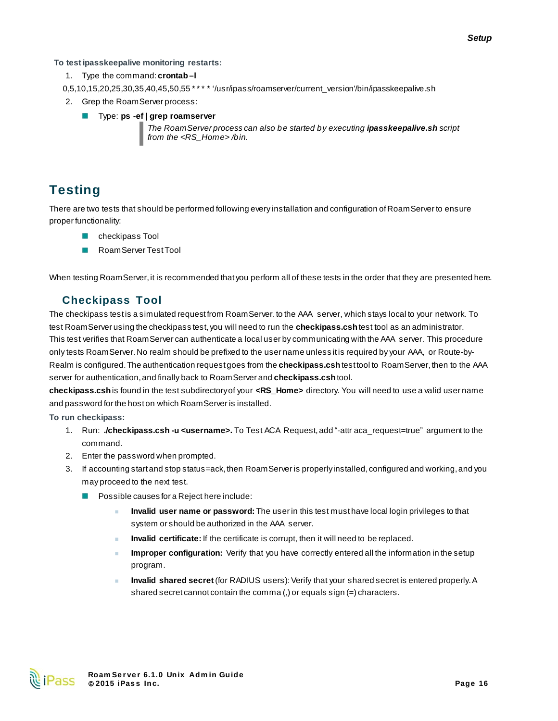**To test ipasskeepalive monitoring restarts:**

1. Type the command: **crontab –l**

0,5,10,15,20,25,30,35,40,45,50,55 \* \* \* \* '/usr/ipass/roamserver/current\_version'/bin/ipasskeepalive.sh

- 2. Grep the RoamServer process:
	- Type: **ps -ef | grep roamserver**

*The RoamServer process can also be started by executing ipasskeepalive.sh script from the <RS\_Home> /bin.*

## **Testing**

There are two tests that should be performed following every installation and configuration of RoamServer to ensure proper functionality:

- checkipass Tool B
- RoamServer Test Tool P.

When testing RoamServer, it is recommended that you perform all of these tests in the order that they are presented here.

### **Checkipass Tool**

The checkipass test is a simulated request from RoamServer. to the AAA server, which stays local to your network. To test RoamServer using the checkipass test, you will need to run the **checkipass.csh**test tool as an administrator. This test verifies that RoamServer can authenticate a local user by communicating with the AAA server. This procedure only tests RoamServer. No realm should be prefixed to the user name unless it is required by your AAA, or Route-by-Realm is configured. The authentication request goes from the **checkipass.csh**test tool to RoamServer, then to the AAA server for authentication, and finally back to RoamServer and **checkipass.csh**tool.

**checkipass.csh** is found in the test subdirectory of your **<RS\_Home>** directory. You will need to use a valid user name and password for the host on which RoamServer is installed.

**To run checkipass:**

- 1. Run: **./checkipass.csh -u <username>.** To Test ACA Request, add "-attr aca\_request=true" argument to the command.
- 2. Enter the password when prompted.
- 3. If accounting start and stop status=ack, then RoamServer is properly installed, configured and working, and you may proceed to the next test.
	- $\mathbb{Z}^2$ Possible causes for a Reject here include:
		- **Invalid user name or password:** The user in this test must have local login privileges to that system or should be authorized in the AAA server.
		- **Invalid certificate:** If the certificate is corrupt, then it will need to be replaced.
		- **Improper configuration:** Verify that you have correctly entered all the information in the setup program.
		- **Invalid shared secret** (for RADIUS users): Verify that your shared secret is entered properly. A shared secret cannot contain the comma (,) or equals sign (=) characters.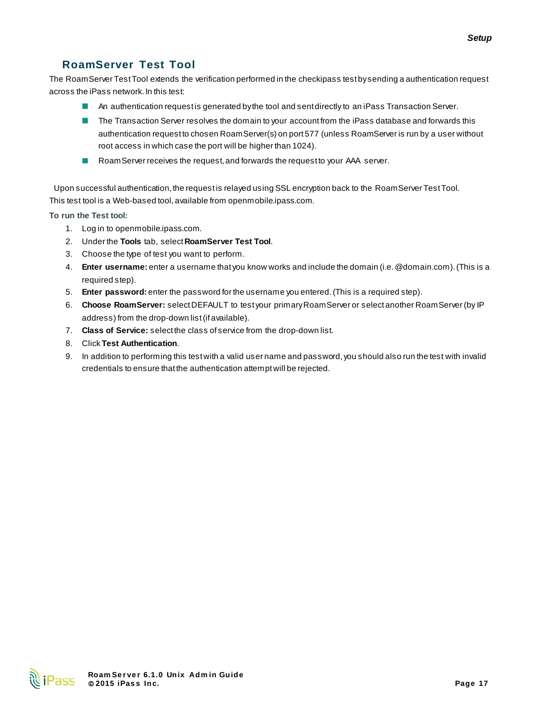### **RoamServer Test Tool**

The RoamServer Test Tool extends the verification performed in the checkipass test by sending a authentication request across the iPass network. In this test:

- **An authentication request is generated by the tool and sent directly to an iPass Transaction Server.**
- The Transaction Server resolves the domain to your account from the iPass database and forwards this authentication request to chosen Roam Server(s) on port 577 (unless Roam Server is run by a user without root access in which case the port will be higher than 1024).
- RoamServer receives the request, and forwards the request to your AAA server. Ŀ.

 Upon successful authentication, the request is relayed using SSL encryption back to the RoamServer Test Tool. This test tool is a Web-based tool, available from openmobile.ipass.com.

**To run the Test tool:**

- 1. Log in to openmobile.ipass.com.
- 2. Under the **Tools** tab, select **RoamServer Test Tool**.
- 3. Choose the type of test you want to perform.
- 4. **Enter username:** enter a username that you know works and include the domain (i.e. @domain.com). (This is a required step).
- 5. **Enter password:** enter the password for the username you entered.(This is a required step).
- 6. **Choose RoamServer:** select DEFAULT to test your primary RoamServer or select another RoamServer (by IP address) from the drop-down list (if available).
- 7. **Class of Service:** select the class of service from the drop-down list.
- 8. Click **Test Authentication**.
- 9. In addition to performing this test with a valid user name and password, you should also run the test with invalid credentials to ensure that the authentication attempt will be rejected.

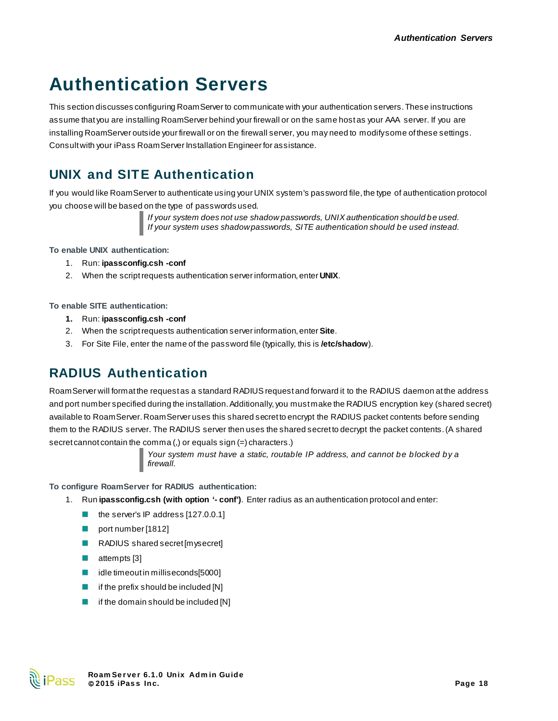## **Authentication Servers**

This section discusses configuring RoamServer to communicate with your authentication servers. These instructions assume that you are installing RoamServer behind your firewall or on the same host as your AAA server. If you are installing RoamServer outside your firewall or on the firewall server, you may need to modify some of these settings. Consult with your iPass RoamServer Installation Engineer for assistance.

## <span id="page-17-0"></span>**UNIX and SITE Authentication**

If you would like RoamServer to authenticate using your UNIX system's password file, the type of authentication protocol you choose will be based on the type of passwords used.

> *If your system does not use shadow passwords, UNIX authentication should be used. If your system uses shadow passwords, SITE authentication should be used instead.*

**To enable UNIX authentication:**

- 1. Run: **ipassconfig.csh -conf**
- 2. When the script requests authentication server information, enter **UNIX**.

**To enable SITE authentication:**

- **1.** Run: **ipassconfig.csh -conf**
- 2. When the script requests authentication server information, enter **Site**.
- 3. For Site File, enter the name of the password file (typically, this is **/etc/shadow**).

## **RADIUS Authentication**

RoamServer will format the request as a standard RADIUS request and forward it to the RADIUS daemon at the address and port number specified during the installation. Additionally, you must make the RADIUS encryption key (shared secret) available to RoamServer. RoamServer uses this shared secret to encrypt the RADIUS packet contents before sending them to the RADIUS server. The RADIUS server then uses the shared secret to decrypt the packet contents. (A shared secret cannot contain the comma (,) or equals sign (=) characters.)

> *Your system must have a static, routable IP address, and cannot be blocked by a firewall.*

**To configure RoamServer for RADIUS authentication:**

- 1. Run **ipassconfig.csh (with option '- conf')**. Enter radius as an authentication protocol and enter:
	- the server's IP address [127.0.0.1]
	- B port number [1812]
	- B RADIUS shared secret [mysecret]
	- **attempts** [3]
	- B idle timeout in milliseconds[5000]
	- B if the prefix should be included [N]
	- if the domain should be included [N]B

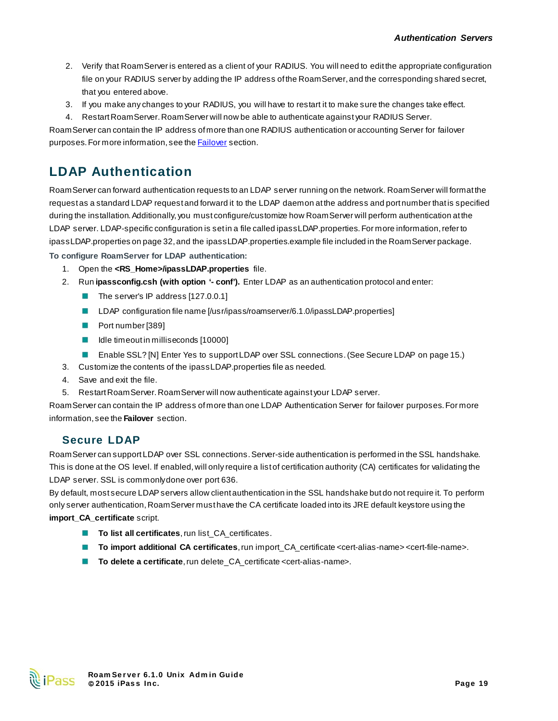- 2. Verify that RoamServer is entered as a client of your RADIUS. You will need to edit the appropriate configuration file on your RADIUS server by adding the IP address of the RoamServer, and the corresponding shared secret, that you entered above.
- 3. If you make any changes to your RADIUS, you will have to restart it to make sure the changes take effect.
- 4. Restart RoamServer. RoamServer will now be able to authenticate against your RADIUS Server.

RoamServer can contain the IP address of more than one RADIUS authentication or accounting Server for failover purposes. For more information, see the **Failover** section.

### **LDAP Authentication**

RoamServer can forward authentication requests to an LDAP server running on the network. RoamServer will format the request as a standard LDAP request and forward it to the LDAP daemon at the address and port number that is specified during the installation. Additionally, you must configure/customize how RoamServer will perform authentication at the LDAP server. LDAP-specific configuration is set in a file called ipassLDAP.properties. For more information, refer to ipassLDAP.properties on page 32, and the ipassLDAP.properties.example file included in the RoamServer package.

**To configure RoamServer for LDAP authentication:**

- 1. Open the **<RS\_Home>/ipassLDAP.properties** file.
- 2. Run **ipassconfig.csh (with option '- conf').** Enter LDAP as an authentication protocol and enter:
	- The server's IP address [127.0.0.1] B
	- **LDAP** configuration file name [/usr/ipass/roamserver/6.1.0/ipassLDAP.properties]
	- **Port number [389]**
	- Idle timeout in milliseconds [10000] B
	- **B** Enable SSL? [N] Enter Yes to support LDAP over SSL connections. (See Secure LDAP on page 15.)
- 3. Customize the contents of the ipassLDAP.properties file as needed.
- 4. Save and exit the file.
- 5. Restart RoamServer. RoamServer will now authenticate against your LDAP server.

RoamServer can contain the IP address of more than one LDAP Authentication Server for failover purposes. For more information, see the **Failover** section.

#### **Secure LDAP**

RoamServer can support LDAP over SSL connections. Server-side authentication is performed in the SSL handshake. This is done at the OS level. If enabled, will only require a list of certification authority (CA) certificates for validating the LDAP server. SSL is commonly done over port 636.

By default, most secure LDAP servers allow client authentication in the SSL handshake but do not require it. To perform only server authentication, RoamServer must have the CA certificate loaded into its JRE default keystore using the **import\_CA\_certificate** script.

- **To list all certificates**, run list\_CA\_certificates.
- B To import additional CA certificates, run import CA certificate <cert-alias-name> <cert-file-name>.
- To delete a certificate, run delete\_CA\_certificate <cert-alias-name>. 9.

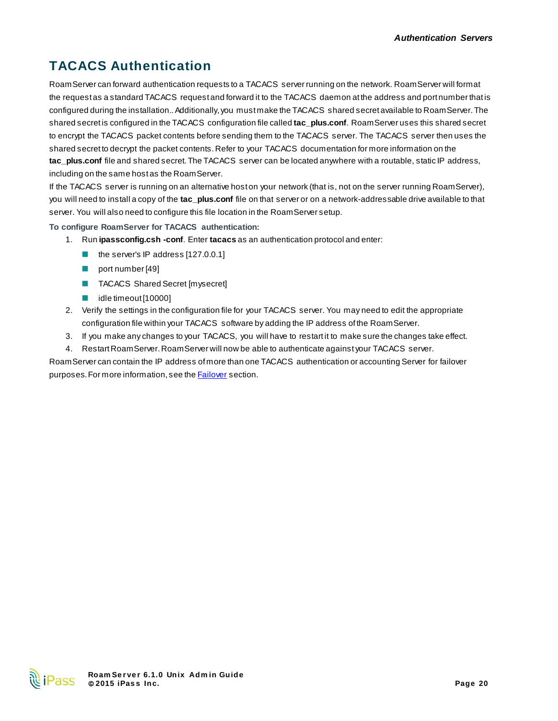## **TACACS Authentication**

RoamServer can forward authentication requests to a TACACS server running on the network. RoamServer will format the request as a standard TACACS request and forward it to the TACACS daemon at the address and port number that is configured during the installation.. Additionally, you must make the TACACS shared secret available to RoamServer. The shared secret is configured in the TACACS configuration file called **tac\_plus.conf**. RoamServer uses this shared secret to encrypt the TACACS packet contents before sending them to the TACACS server. The TACACS server then uses the shared secret to decrypt the packet contents. Refer to your TACACS documentation for more information on the **tac\_plus.conf** file and shared secret. The TACACS server can be located anywhere with a routable, static IP address, including on the same host as the RoamServer.

If the TACACS server is running on an alternative host on your network (that is, not on the server running RoamServer), you will need to install a copy of the **tac\_plus.conf** file on that server or on a network-addressable drive available to that server. You will also need to configure this file location in the RoamServer setup.

**To configure RoamServer for TACACS authentication:**

- 1. Run **ipassconfig.csh -conf**. Enter **tacacs** as an authentication protocol and enter:
	- F. the server's IP address [127.0.0.1]
	- B port number [49]
	- B TACACS Shared Secret [mysecret]
	- B idle timeout [10000]
- 2. Verify the settings in the configuration file for your TACACS server. You may need to edit the appropriate configuration file within your TACACS software by adding the IP address of the RoamServer.
- 3. If you make any changes to your TACACS, you will have to restart it to make sure the changes take effect.
- 4. Restart RoamServer. RoamServer will now be able to authenticate against your TACACS server.

RoamServer can contain the IP address of more than one TACACS authentication or accounting Server for failover purposes. For more information, see th[e Failover](#page-34-0) section.

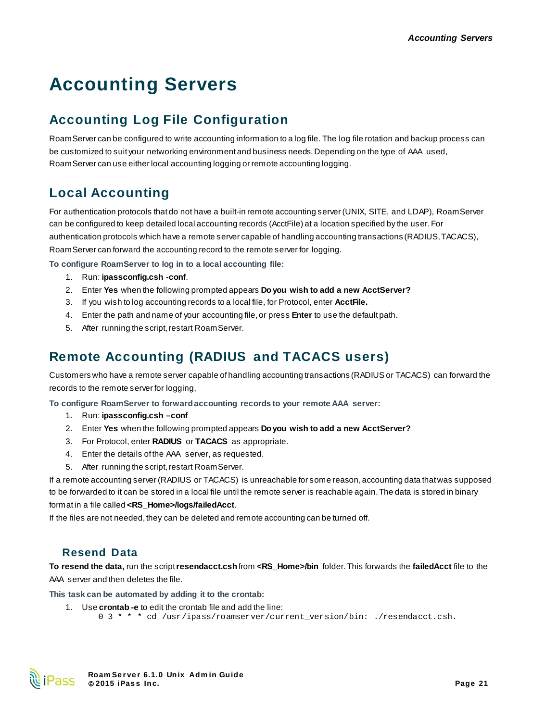## **Accounting Servers**

## <span id="page-20-0"></span>**Accounting Log File Configuration**

RoamServer can be configured to write accounting information to a log file. The log file rotation and backup process can be customized to suit your networking environment and business needs. Depending on the type of AAA used, RoamServer can use either local accounting logging or remote accounting logging.

## **Local Accounting**

For authentication protocols that do not have a built-in remote accounting server (UNIX, SITE, and LDAP), RoamServer can be configured to keep detailed local accounting records (AcctFile) at a location specified by the user. For authentication protocols which have a remote server capable of handling accounting transactions (RADIUS, TACACS), RoamServer can forward the accounting record to the remote server for logging.

**To configure RoamServer to log in to a local accounting file:**

- 1. Run: **ipassconfig.csh -conf**.
- 2. Enter **Yes** when the following prompted appears **Do you wish to add a new AcctServer?**
- 3. If you wish to log accounting records to a local file, for Protocol, enter **AcctFile.**
- 4. Enter the path and name of your accounting file, or press **Enter** to use the default path.
- 5. After running the script, restart RoamServer.

## **Remote Accounting (RADIUS and TACACS users)**

Customers who have a remote server capable of handling accounting transactions (RADIUS or TACACS) can forward the records to the remote server for logging,

**To configure RoamServer to forward accounting records to your remote AAA server:**

- 1. Run: **ipassconfig.csh –conf**
- 2. Enter **Yes** when the following prompted appears **Do you wish to add a new AcctServer?**
- 3. For Protocol, enter **RADIUS** or **TACACS** as appropriate.
- 4. Enter the details of the AAA server, as requested.
- 5. After running the script, restart RoamServer.

If a remote accounting server (RADIUS or TACACS) is unreachable for some reason, accounting data that was supposed to be forwarded to it can be stored in a local file until the remote server is reachable again. The data is stored in binary format in a file called **<RS\_Home>/logs/failedAcct**.

If the files are not needed, they can be deleted and remote accounting can be turned off.

#### **Resend Data**

**To resend the data,** run the script **resendacct.csh**from **<RS\_Home>/bin** folder. This forwards the **failedAcct** file to the AAA server and then deletes the file.

**This task can be automated by adding it to the crontab:**

1. Use **crontab -e** to edit the crontab file and add the line:

0 3 \* \* \* cd /usr/ipass/roamserver/current\_version/bin: ./resendacct.csh.

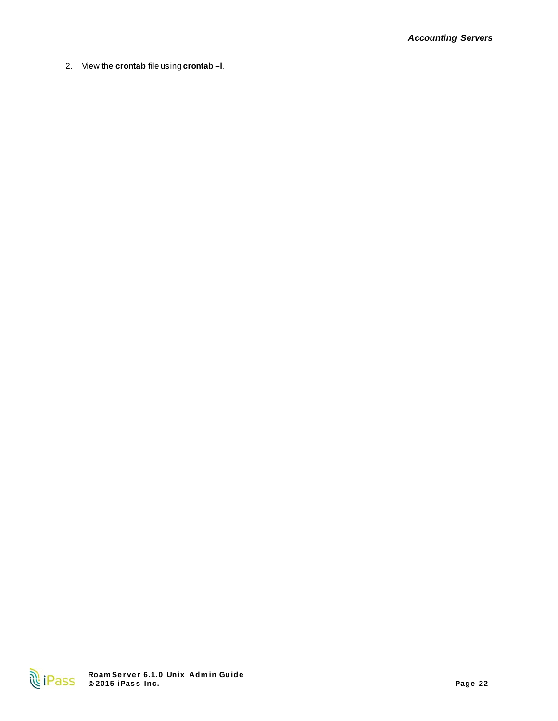2. View the **crontab** file using **crontab –l**.

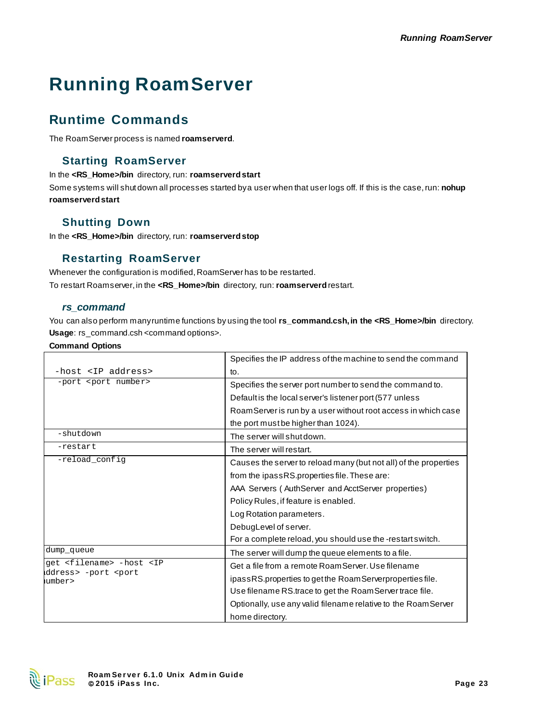# **Running RoamServer**

## **Runtime Commands**

The RoamServer process is named **roamserverd**.

#### **Starting RoamServer**

In the **<RS\_Home>/bin** directory, run: **roamserverd start**

Some systems will shut down all processes started by a user when that user logs off. If this is the case, run: nohup **roamserverd start**

### **Shutting Down**

In the **<RS\_Home>/bin** directory, run: **roamserverd stop**

### **Restarting RoamServer**

Whenever the configuration is modified, RoamServer has to be restarted. To restart Roamserver, in the **<RS\_Home>/bin** directory, run: **roamserverd** restart.

#### *rs\_command*

You can also perform many runtime functions by using the tool **rs\_command.csh, in the <RS\_Home>/bin** directory. Usage: rs\_command.csh <command options>.

**Command Options**

|                                                                                                                                                 | Specifies the IP address of the machine to send the command      |
|-------------------------------------------------------------------------------------------------------------------------------------------------|------------------------------------------------------------------|
| -host <ip address=""></ip>                                                                                                                      | to.                                                              |
| -port <port number=""></port>                                                                                                                   | Specifies the server port number to send the command to.         |
|                                                                                                                                                 | Default is the local server's listener port (577 unless          |
|                                                                                                                                                 | Roam Server is run by a user without root access in which case   |
|                                                                                                                                                 | the port must be higher than 1024).                              |
| -shutdown                                                                                                                                       | The server will shut down.                                       |
| -restart                                                                                                                                        | The server will restart.                                         |
| -reload_confiq                                                                                                                                  | Causes the server to reload many (but not all) of the properties |
|                                                                                                                                                 | from the ipassRS.properties file. These are:                     |
|                                                                                                                                                 | AAA Servers (AuthServer and AcctServer properties)               |
|                                                                                                                                                 | Policy Rules, if feature is enabled.                             |
|                                                                                                                                                 | Log Rotation parameters.                                         |
|                                                                                                                                                 | DebugLevel of server.                                            |
|                                                                                                                                                 | For a complete reload, you should use the -restart switch.       |
| dump_queue                                                                                                                                      | The server will dump the queue elements to a file.               |
| get <filename> -host <ip<br>ddress&gt; -port <port< th=""><td>Get a file from a remote RoamServer. Use filename</td></port<></ip<br></filename> | Get a file from a remote RoamServer. Use filename                |
| umber>                                                                                                                                          | ipassRS.properties to get the RoamServerproperties file.         |
|                                                                                                                                                 | Use filename RS trace to get the Roam Server trace file.         |
|                                                                                                                                                 | Optionally, use any valid filename relative to the RoamServer    |
|                                                                                                                                                 | home directory.                                                  |

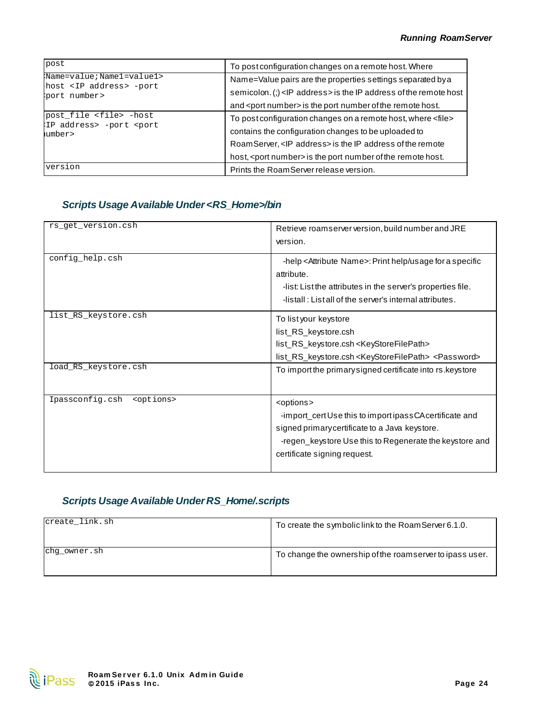| post                                                                                | To post configuration changes on a remote host. Where                                                                                                                                                                                                                       |
|-------------------------------------------------------------------------------------|-----------------------------------------------------------------------------------------------------------------------------------------------------------------------------------------------------------------------------------------------------------------------------|
| Name=value; Name1=value1><br>host <ip address=""> -port<br/>port number&gt;</ip>    | Name=Value pairs are the properties settings separated by a<br>semicolon. (;) <ip address=""> is the IP address of the remote host<br/>and <port number=""> is the port number of the remote host.</port></ip>                                                              |
| post_file <file> -host<br/>IP address&gt; -port <port<br>umber&gt;</port<br></file> | To post configuration changes on a remote host, where <file><br/>contains the configuration changes to be uploaded to<br/>Roam Server, &lt; IP address &gt; is the IP address of the remote<br/>host, <port number=""> is the port number of the remote host.</port></file> |
| version                                                                             | Prints the Roam Server release version.                                                                                                                                                                                                                                     |

### *Scripts Usage Available Under <RS\_Home>/bin*

| rs_get_version.csh                           | Retrieve roamserver version, build number and JRE<br>version.                                                                                                                                                                    |
|----------------------------------------------|----------------------------------------------------------------------------------------------------------------------------------------------------------------------------------------------------------------------------------|
| config_help.csh                              | -help <attribute name="">: Print help/usage for a specific<br/>attribute.<br/>-list: List the attributes in the server's properties file.<br/>-listall: List all of the server's internal attributes.</attribute>                |
| list RS keystore.csh<br>load RS_keystore.csh | To list your keystore<br>list_RS_keystore.csh<br>list_RS_keystore.csh <keystorefilepath><br/>list_RS_keystore.csh<keystorefilepath> <password></password></keystorefilepath></keystorefilepath>                                  |
|                                              | To import the primary signed certificate into rs. keystore                                                                                                                                                                       |
| Ipassconfig.csh<br><options></options>       | <options><br/>-import_cert Use this to import ipass CA certificate and<br/>signed primary certificate to a Java keystore.<br/>-regen_keystore Use this to Regenerate the keystore and<br/>certificate signing request.</options> |

#### *Scripts Usage Available Under RS\_Home/.scripts*

| create link.sh | To create the symbolic link to the Roam Server 6.1.0.    |
|----------------|----------------------------------------------------------|
| chg owner.sh   | To change the ownership of the roamserver to ipass user. |

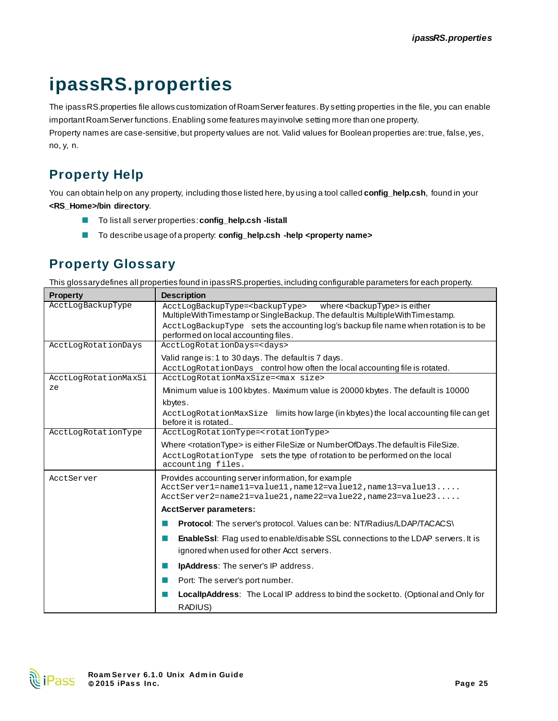# **ipassRS.properties**

The ipassRS.properties file allows customization of RoamServer features. By setting properties in the file, you can enable important RoamServer functions. Enabling some features may involve setting more than one property.

Property names are case-sensitive, but property values are not. Valid values for Boolean properties are: true, false, yes, no, y, n.

## **Property Help**

You can obtain help on any property, including those listed here, by using a tool called **config\_help.csh**, found in your **<RS\_Home>/bin directory**.

- $\mathcal{L}_{\mathcal{A}}$ To list all server properties: **config\_help.csh -listall**
- þ. To describe usage of a property: config\_help.csh -help <property name>

## <span id="page-24-0"></span>**Property Glossary**

This glossary defines all properties found in ipassRS.properties, including configurable parameters for each property.

| <b>Property</b>      | <b>Description</b>                                                                                                                                                                                                                                                                                           |
|----------------------|--------------------------------------------------------------------------------------------------------------------------------------------------------------------------------------------------------------------------------------------------------------------------------------------------------------|
| AcctLogBackupType    | AcctLogBackupType= <backuptype><br/>where <backuptype> is either<br/>MultipleWithTimestamp or SingleBackup. The default is MultipleWithTimestamp.<br/>AcctLogBackupType sets the accounting log's backup file name when rotation is to be<br/>performed on local accounting files.</backuptype></backuptype> |
| AcctLogRotationDays  | AcctLogRotationDays= <days></days>                                                                                                                                                                                                                                                                           |
|                      | Valid range is: 1 to 30 days. The default is 7 days.<br>AcctLogRotationDays control how often the local accounting file is rotated.                                                                                                                                                                          |
| AcctLogRotationMaxSi | AcctLogRotationMaxSize= <max size=""></max>                                                                                                                                                                                                                                                                  |
| ze                   | Minimum value is 100 kbytes. Maximum value is 20000 kbytes. The default is 10000                                                                                                                                                                                                                             |
|                      | kbytes.                                                                                                                                                                                                                                                                                                      |
|                      | limits how large (in kbytes) the local accounting file can get<br>AcctLogRotationMaxSize<br>before it is rotated                                                                                                                                                                                             |
| AcctLogRotationType  | AcctLogRotationType= <rotationtype></rotationtype>                                                                                                                                                                                                                                                           |
|                      | Where <rotationtype> is either FileSize or NumberOfDays. The default is FileSize.<br/>AcctLogRotationType sets the type of rotation to be performed on the local<br/>accounting files.</rotationtype>                                                                                                        |
| AcctServer           | Provides accounting server information, for example<br>AcctServer1=name11=value11,name12=value12,name13=value13<br>AcctServer2=name21=value21,name22=value22,name23=value23                                                                                                                                  |
|                      | <b>AcctServer parameters:</b>                                                                                                                                                                                                                                                                                |
|                      | <b>Protocol:</b> The server's protocol. Values can be: NT/Radius/LDAP/TACACS\                                                                                                                                                                                                                                |
|                      | <b>EnableSsI:</b> Flag used to enable/disable SSL connections to the LDAP servers. It is<br>ignored when used for other Acct servers.                                                                                                                                                                        |
|                      | <b>IpAddress:</b> The server's IP address.<br><b>A</b>                                                                                                                                                                                                                                                       |
|                      | Port: The server's port number.                                                                                                                                                                                                                                                                              |
|                      | LocallpAddress: The Local IP address to bind the socket to. (Optional and Only for<br>RADIUS)                                                                                                                                                                                                                |

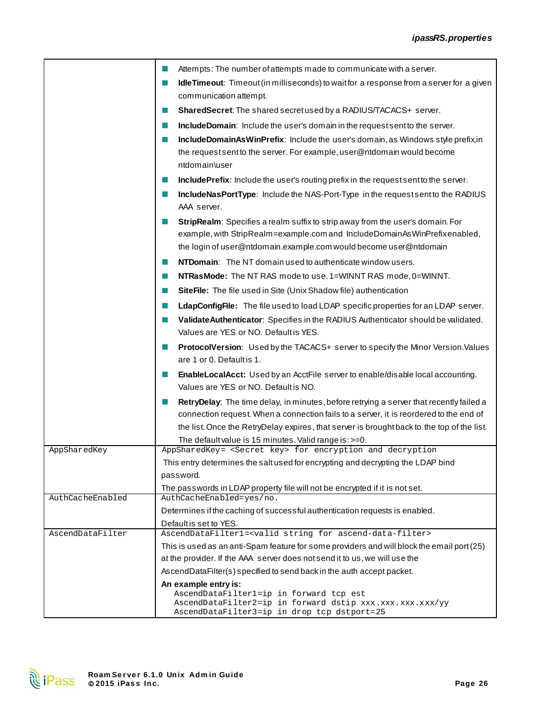|                  | Attempts: The number of attempts made to communicate with a server.                                                           |
|------------------|-------------------------------------------------------------------------------------------------------------------------------|
|                  | <b>IdleTimeout:</b> Timeout (in milliseconds) to wait for a response from a server for a given<br><b>College</b>              |
|                  | communication attempt.                                                                                                        |
|                  | SharedSecret: The shared secret used by a RADIUS/TACACS+ server.<br><b>A</b>                                                  |
|                  | IncludeDomain: Include the user's domain in the request sent to the server.                                                   |
|                  | IncludeDomainAsWinPrefix: Include the user's domain, as Windows style prefix, in<br><b>ISBN</b>                               |
|                  | the request sent to the server. For example, user@ntdomain would become                                                       |
|                  | ntdomain\user                                                                                                                 |
|                  | IncludePrefix: Include the user's routing prefix in the request sent to the server.<br>æ                                      |
|                  | IncludeNasPortType: Include the NAS-Port-Type in the request sent to the RADIUS<br><b>A</b>                                   |
|                  | AAA server.                                                                                                                   |
|                  | StripRealm: Specifies a realm suffix to strip away from the user's domain. For                                                |
|                  | example, with StripRealm=example.com and IncludeDomainAsWinPrefixenabled,                                                     |
|                  | the login of user@ntdomain.example.com would become user@ntdomain                                                             |
|                  | NTDomain: The NT domain used to authenticate window users.<br><b>A</b>                                                        |
|                  | NTRasMode: The NT RAS mode to use. 1=WINNT RAS mode, 0=WINNT.<br><b>A</b>                                                     |
|                  | SiteFile: The file used in Site (Unix Shadow file) authentication<br><b>A</b>                                                 |
|                  | LdapConfigFile: The file used to load LDAP specific properties for an LDAP server.<br><b>A</b>                                |
|                  | ValidateAuthenticator: Specifies in the RADIUS Authenticator should be validated.<br><b>A</b>                                 |
|                  | Values are YES or NO. Default is YES.                                                                                         |
|                  | ProtocolVersion: Used by the TACACS+ server to specify the Minor Version. Values<br><b>A</b>                                  |
|                  | are 1 or 0. Default is 1.                                                                                                     |
|                  | EnableLocalAcct: Used by an AcctFile server to enable/disable local accounting.<br><b>A</b>                                   |
|                  | Values are YES or NO. Default is NO.                                                                                          |
|                  | RetryDelay: The time delay, in minutes, before retrying a server that recently failed a<br><b>A</b>                           |
|                  | connection request. When a connection fails to a server, it is reordered to the end of                                        |
|                  | the list. Once the RetryDelay expires, that server is brought back to the top of the list.                                    |
| AppSharedKey     | The default value is 15 minutes. Valid range is: >=0.<br>AppSharedKey= <secret key=""> for encryption and decryption</secret> |
|                  | This entry determines the salt used for encrypting and decrypting the LDAP bind                                               |
|                  | password.                                                                                                                     |
|                  | The passwords in LDAP property file will not be encrypted if it is not set.                                                   |
| AuthCacheEnabled | AuthCacheEnabled=yes/no.                                                                                                      |
|                  | Determines if the caching of successful authentication requests is enabled.                                                   |
| AscendDataFilter | Default is set to YES.<br>AscendDataFilter1= <valid ascend-data-filter="" for="" string=""></valid>                           |
|                  | This is used as an anti-Spam feature for some providers and will block the email port (25)                                    |
|                  | at the provider. If the AAA server does not send it to us, we will use the                                                    |
|                  | AscendDataFilter(s) specified to send back in the auth accept packet.                                                         |
|                  | An example entry is:                                                                                                          |
|                  | AscendDataFilter1=ip in forward tcp est                                                                                       |
|                  | AscendDataFilter2=ip in forward dstip xxx.xxx.xxx.xxx/yy<br>AscendDataFilter3=ip in drop tcp dstport=25                       |

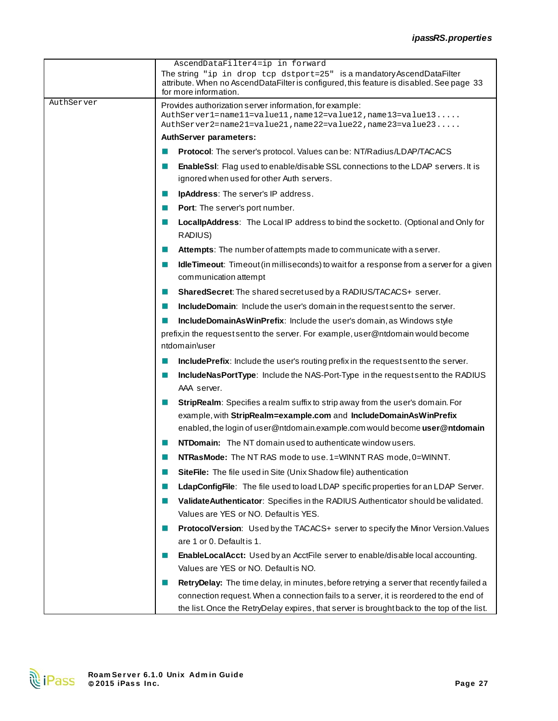|            | AscendDataFilter4=ip in forward<br>The string "ip in drop tcp dstport=25" is a mandatory Ascend Data Filter                                                                                                                        |
|------------|------------------------------------------------------------------------------------------------------------------------------------------------------------------------------------------------------------------------------------|
|            | attribute. When no AscendDataFilter is configured, this feature is disabled. See page 33<br>for more information.                                                                                                                  |
| AuthServer | Provides authorization server information, for example:<br>AuthServer1=name11=value11, name12=value12, name13=value13<br>AuthServer2=name21=value21, name22=value22, name23=value23                                                |
|            | <b>AuthServer parameters:</b>                                                                                                                                                                                                      |
|            | Protocol: The server's protocol. Values can be: NT/Radius/LDAP/TACACS                                                                                                                                                              |
| <b>A</b>   | <b>EnableSsI:</b> Flag used to enable/disable SSL connections to the LDAP servers. It is<br>ignored when used for other Auth servers.                                                                                              |
|            | IpAddress: The server's IP address.<br>æ                                                                                                                                                                                           |
|            | Port: The server's port number.<br><b>Coll</b>                                                                                                                                                                                     |
|            | LocallpAddress: The Local IP address to bind the socket to. (Optional and Only for<br><b>Contract</b><br>RADIUS)                                                                                                                   |
|            | Attempts: The number of attempts made to communicate with a server.<br><b>Contract</b>                                                                                                                                             |
|            | <b>IdleTimeout:</b> Timeout (in milliseconds) to wait for a response from a server for a given<br><b>A</b><br>communication attempt                                                                                                |
| <b>A</b>   | SharedSecret: The shared secret used by a RADIUS/TACACS+ server.                                                                                                                                                                   |
|            | <b>IncludeDomain:</b> Include the user's domain in the request sent to the server.                                                                                                                                                 |
|            | <b>IncludeDomainAsWinPrefix:</b> Include the user's domain, as Windows style<br>prefix, in the request sent to the server. For example, user@ntdomain would become<br>ntdomain\user                                                |
|            | <b>IncludePrefix:</b> Include the user's routing prefix in the request sent to the server.                                                                                                                                         |
|            | IncludeNasPortType: Include the NAS-Port-Type in the request sent to the RADIUS<br><b>A</b><br>AAA server.                                                                                                                         |
|            | StripRealm: Specifies a realm suffix to strip away from the user's domain. For<br>example, with StripRealm=example.com and IncludeDomainAsWinPrefix<br>enabled, the login of user@ntdomain.example.com would become user @ntdomain |
|            | NTDomain: The NT domain used to authenticate window users.                                                                                                                                                                         |
|            | <b>NTRasMode:</b> The NT RAS mode to use. 1=WINNT RAS mode, 0=WINNT.                                                                                                                                                               |
|            | SiteFile: The file used in Site (Unix Shadow file) authentication                                                                                                                                                                  |
|            | LdapConfigFile: The file used to load LDAP specific properties for an LDAP Server.                                                                                                                                                 |
|            | ValidateAuthenticator: Specifies in the RADIUS Authenticator should be validated.                                                                                                                                                  |
|            | Values are YES or NO. Default is YES.                                                                                                                                                                                              |
|            | ProtocolVersion: Used by the TACACS+ server to specify the Minor Version. Values<br>are 1 or 0. Default is 1.                                                                                                                      |
|            | EnableLocalAcct: Used by an AcctFile server to enable/disable local accounting.<br>Values are YES or NO. Default is NO.                                                                                                            |
|            | RetryDelay: The time delay, in minutes, before retrying a server that recently failed a                                                                                                                                            |
|            | connection request. When a connection fails to a server, it is reordered to the end of<br>the list. Once the RetryDelay expires, that server is brought back to the top of the list.                                               |

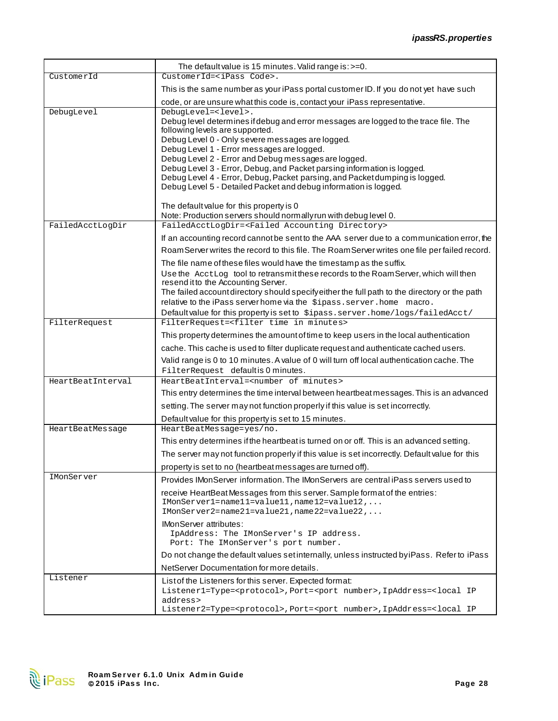|                   | The default value is 15 minutes. Valid range is: $>=0$ .                                                                                                                                                                                                                                                                                                                                                                                                                                                                                 |
|-------------------|------------------------------------------------------------------------------------------------------------------------------------------------------------------------------------------------------------------------------------------------------------------------------------------------------------------------------------------------------------------------------------------------------------------------------------------------------------------------------------------------------------------------------------------|
| CustomerId        | CustomerId= <ipass code="">.</ipass>                                                                                                                                                                                                                                                                                                                                                                                                                                                                                                     |
|                   | This is the same number as your iPass portal customer ID. If you do not yet have such                                                                                                                                                                                                                                                                                                                                                                                                                                                    |
|                   | code, or are unsure what this code is, contact your iPass representative.                                                                                                                                                                                                                                                                                                                                                                                                                                                                |
| DebugLevel        | DebugLevel =< level>.<br>Debug level determines if debug and error messages are logged to the trace file. The<br>following levels are supported.<br>Debug Level 0 - Only severe messages are logged.<br>Debug Level 1 - Error messages are logged.<br>Debug Level 2 - Error and Debug messages are logged.<br>Debug Level 3 - Error, Debug, and Packet parsing information is logged.<br>Debug Level 4 - Error, Debug, Packet parsing, and Packet dumping is logged.<br>Debug Level 5 - Detailed Packet and debug information is logged. |
|                   | The default value for this property is 0<br>Note: Production servers should normally run with debug level 0.                                                                                                                                                                                                                                                                                                                                                                                                                             |
| FailedAcctLogDir  | FailedAcctLogDir= <failed accounting="" directory=""></failed>                                                                                                                                                                                                                                                                                                                                                                                                                                                                           |
|                   | If an accounting record cannot be sent to the AAA server due to a communication error, the<br>Roam Server writes the record to this file. The Roam Server writes one file per failed record.                                                                                                                                                                                                                                                                                                                                             |
|                   |                                                                                                                                                                                                                                                                                                                                                                                                                                                                                                                                          |
|                   | The file name of these files would have the timestamp as the suffix.<br>Use the AcctLog tool to retransmit these records to the Roam Server, which will then<br>resend it to the Accounting Server.<br>The failed account directory should specifyeither the full path to the directory or the path                                                                                                                                                                                                                                      |
|                   | relative to the iPass server home via the \$ipass. server. home macro.                                                                                                                                                                                                                                                                                                                                                                                                                                                                   |
|                   | Default value for this property is set to \$ipass.server.home/logs/failedAcct/<br>FilterRequest= <filter in="" minutes="" time=""></filter>                                                                                                                                                                                                                                                                                                                                                                                              |
| FilterRequest     |                                                                                                                                                                                                                                                                                                                                                                                                                                                                                                                                          |
|                   | This property determines the amount of time to keep users in the local authentication                                                                                                                                                                                                                                                                                                                                                                                                                                                    |
|                   | cache. This cache is used to filter duplicate request and authenticate cached users.                                                                                                                                                                                                                                                                                                                                                                                                                                                     |
|                   | Valid range is 0 to 10 minutes. A value of 0 will turn off local authentication cache. The<br>FilterRequest defaultis 0 minutes.                                                                                                                                                                                                                                                                                                                                                                                                         |
| HeartBeatInterval | HeartBeatInterval= <number minutes="" of=""></number>                                                                                                                                                                                                                                                                                                                                                                                                                                                                                    |
|                   | This entry determines the time interval between heartbeat messages. This is an advanced                                                                                                                                                                                                                                                                                                                                                                                                                                                  |
|                   | setting. The server may not function properly if this value is set incorrectly.                                                                                                                                                                                                                                                                                                                                                                                                                                                          |
|                   | Default value for this property is set to 15 minutes.                                                                                                                                                                                                                                                                                                                                                                                                                                                                                    |
| HeartBeatMessage  | HeartBeatMessage=yes/no.                                                                                                                                                                                                                                                                                                                                                                                                                                                                                                                 |
|                   | This entry determines if the heartbeat is turned on or off. This is an advanced setting.                                                                                                                                                                                                                                                                                                                                                                                                                                                 |
|                   | The server may not function properly if this value is set incorrectly. Default value for this                                                                                                                                                                                                                                                                                                                                                                                                                                            |
|                   | property is set to no (heartbeat messages are turned off).                                                                                                                                                                                                                                                                                                                                                                                                                                                                               |
| IMonServer        | Provides IMonServer information. The IMonServers are central iPass servers used to                                                                                                                                                                                                                                                                                                                                                                                                                                                       |
|                   | receive HeartBeatMessages from this server. Sample format of the entries:<br>$IMonServer1 = name11 = valuel1, name12 = valuel2, $<br>$IMonserver2 = name21 = value21, name22 = value22, $                                                                                                                                                                                                                                                                                                                                                |
|                   | <b>IMonServer attributes:</b><br>IpAddress: The IMonServer's IP address.<br>Port: The IMonServer's port number.                                                                                                                                                                                                                                                                                                                                                                                                                          |
|                   | Do not change the default values set internally, unless instructed by iPass. Refer to iPass                                                                                                                                                                                                                                                                                                                                                                                                                                              |
|                   | NetServer Documentation for more details.                                                                                                                                                                                                                                                                                                                                                                                                                                                                                                |
| Listener          | List of the Listeners for this server. Expected format:<br>Listener1=Type= <protocol>, Port=<port number="">, IpAddress=<local ip<br="">address&gt;<br/>Listener2=Type=<protocol>, Port=<port number="">, IpAddress=<local ip<="" th=""></local></port></protocol></local></port></protocol>                                                                                                                                                                                                                                             |

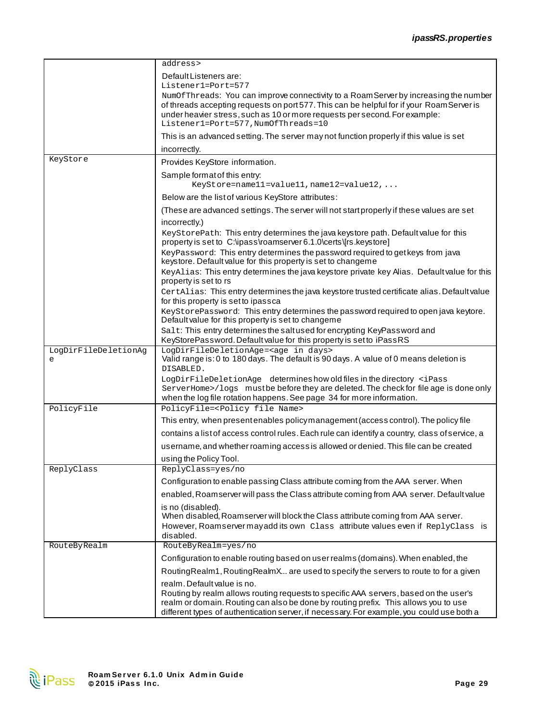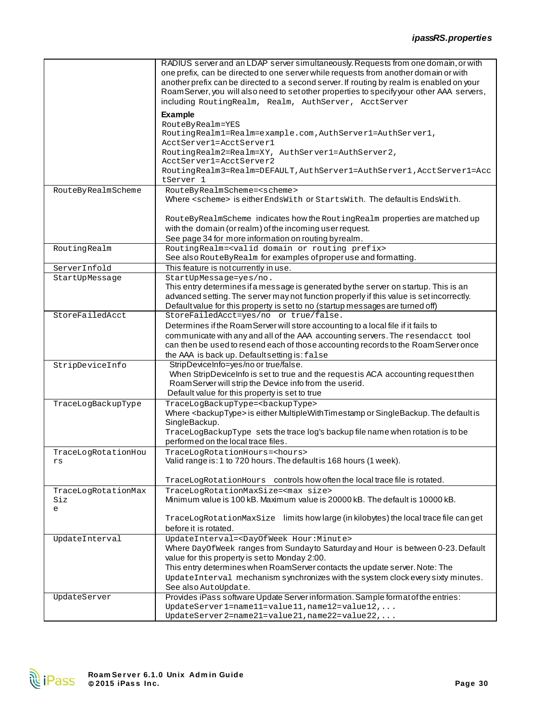|                                 | RADIUS server and an LDAP server simultaneously. Requests from one domain, or with<br>one prefix, can be directed to one server while requests from another domain or with<br>another prefix can be directed to a second server. If routing by realm is enabled on your<br>Roam Server, you will also need to set other properties to specify your other AAA servers,<br>including RoutingRealm, Realm, AuthServer, AcctServer<br><b>Example</b><br>RouteByRealm=YES |
|---------------------------------|----------------------------------------------------------------------------------------------------------------------------------------------------------------------------------------------------------------------------------------------------------------------------------------------------------------------------------------------------------------------------------------------------------------------------------------------------------------------|
|                                 | RoutingRealm1=Realm=example.com, AuthServer1=AuthServer1,                                                                                                                                                                                                                                                                                                                                                                                                            |
|                                 | AcctServer1=AcctServer1<br>RoutingRealm2=Realm=XY, AuthServer1=AuthServer2,                                                                                                                                                                                                                                                                                                                                                                                          |
|                                 | AcctServer1=AcctServer2<br>RoutingRealm3=Realm=DEFAULT, AuthServer1=AuthServer1, AcctServer1=Acc                                                                                                                                                                                                                                                                                                                                                                     |
|                                 | tServer 1                                                                                                                                                                                                                                                                                                                                                                                                                                                            |
| RouteByRealmScheme              | RouteByRealmScheme= <scheme><br/>Where <scheme> is either EndsWith or StartsWith. The default is EndsWith.</scheme></scheme>                                                                                                                                                                                                                                                                                                                                         |
|                                 | RouteByRealmScheme indicates how the RoutingRealm properties are matched up                                                                                                                                                                                                                                                                                                                                                                                          |
|                                 | with the domain (or realm) of the incoming user request.<br>See page 34 for more information on routing by realm.                                                                                                                                                                                                                                                                                                                                                    |
| RoutingRealm                    | RoutingRealm= <valid domain="" or="" prefix="" routing=""></valid>                                                                                                                                                                                                                                                                                                                                                                                                   |
|                                 | See also RouteByRealm for examples of proper use and formatting.                                                                                                                                                                                                                                                                                                                                                                                                     |
| ServerInfold                    | This feature is not currently in use.                                                                                                                                                                                                                                                                                                                                                                                                                                |
| StartUpMessage                  | StartUpMessage=yes/no.<br>This entry determines if a message is generated by the server on startup. This is an<br>advanced setting. The server may not function properly if this value is set incorrectly.<br>Default value for this property is set to no (startup messages are turned off)                                                                                                                                                                         |
| StoreFailedAcct                 | StoreFailedAcct=yes/no Of true/false.                                                                                                                                                                                                                                                                                                                                                                                                                                |
|                                 | Determines if the Roam Server will store accounting to a local file if it fails to                                                                                                                                                                                                                                                                                                                                                                                   |
|                                 | communicate with any and all of the AAA accounting servers. The resendacct tool                                                                                                                                                                                                                                                                                                                                                                                      |
|                                 | can then be used to resend each of those accounting records to the Roam Server once<br>the AAA is back up. Default setting is: false                                                                                                                                                                                                                                                                                                                                 |
| StripDeviceInfo                 | StripDeviceInfo=yes/no or true/false.                                                                                                                                                                                                                                                                                                                                                                                                                                |
|                                 | When StripDeviceInfo is set to true and the request is ACA accounting request then                                                                                                                                                                                                                                                                                                                                                                                   |
|                                 | Roam Server will strip the Device info from the userid.                                                                                                                                                                                                                                                                                                                                                                                                              |
|                                 | Default value for this property is set to true                                                                                                                                                                                                                                                                                                                                                                                                                       |
| TraceLogBackupType              | TraceLogBackupType= <backuptype><br/>Where <backuptype> is either MultipleWithTimestamp or SingleBackup. The default is<br/>SingleBackup.</backuptype></backuptype>                                                                                                                                                                                                                                                                                                  |
|                                 | TraceLogBackupType sets the trace log's backup file name when rotation is to be                                                                                                                                                                                                                                                                                                                                                                                      |
|                                 | performed on the local trace files.<br>TraceLogRotationHours= <hours></hours>                                                                                                                                                                                                                                                                                                                                                                                        |
| TraceLogRotationHou<br>rs       | Valid range is: 1 to 720 hours. The default is 168 hours (1 week).                                                                                                                                                                                                                                                                                                                                                                                                   |
|                                 | TraceLogRotationHours controls how often the local trace file is rotated.                                                                                                                                                                                                                                                                                                                                                                                            |
| TraceLogRotationMax<br>Siz<br>e | TraceLogRotationMaxSize= <max size=""><br/>Minimum value is 100 kB. Maximum value is 20000 kB. The default is 10000 kB.</max>                                                                                                                                                                                                                                                                                                                                        |
|                                 | TraceLogRotationMaxSize limits how large (in kilobytes) the local trace file can get<br>before it is rotated.                                                                                                                                                                                                                                                                                                                                                        |
| UpdateInterval                  | UpdateInterval= <dayofweek hour:minute=""></dayofweek>                                                                                                                                                                                                                                                                                                                                                                                                               |
|                                 | Where DayOfWeek ranges from Sundayto Saturday and Hour is between 0-23. Default<br>value for this property is set to Monday 2:00.                                                                                                                                                                                                                                                                                                                                    |
|                                 | This entry determines when RoamServer contacts the update server. Note: The                                                                                                                                                                                                                                                                                                                                                                                          |
|                                 | UpdateInterval mechanism synchronizes with the system clock every sixty minutes.                                                                                                                                                                                                                                                                                                                                                                                     |
|                                 | See also AutoUpdate.                                                                                                                                                                                                                                                                                                                                                                                                                                                 |
| UpdateServer                    | Provides iPass software Update Server information. Sample format of the entries:                                                                                                                                                                                                                                                                                                                                                                                     |
|                                 | UpdateServer1=name11=value11,name12=value12,                                                                                                                                                                                                                                                                                                                                                                                                                         |
|                                 | UpdateServer2=name21=value21,name22=value22,                                                                                                                                                                                                                                                                                                                                                                                                                         |

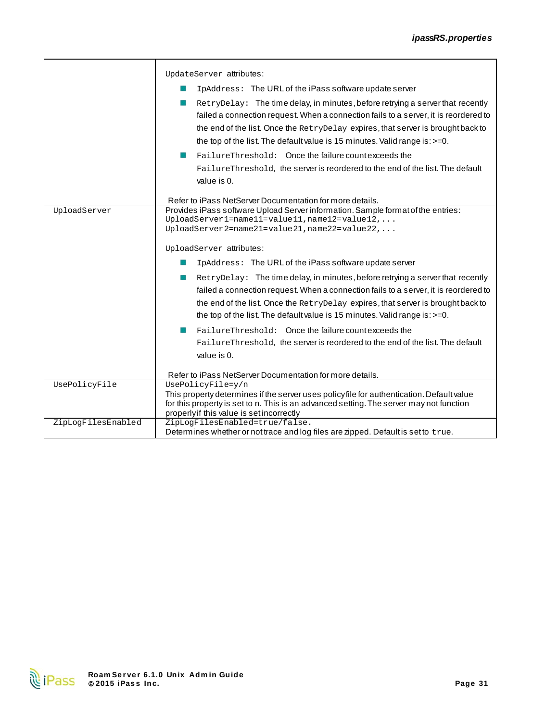|                    | UpdateServer attributes:                                                                                                                                                                                                                                                                                                                                                                                                                                                            |  |
|--------------------|-------------------------------------------------------------------------------------------------------------------------------------------------------------------------------------------------------------------------------------------------------------------------------------------------------------------------------------------------------------------------------------------------------------------------------------------------------------------------------------|--|
|                    | IpAddress: The URL of the iPass software update server                                                                                                                                                                                                                                                                                                                                                                                                                              |  |
|                    | RetryDelay: The time delay, in minutes, before retrying a server that recently<br>failed a connection request. When a connection fails to a server, it is reordered to<br>the end of the list. Once the RetryDelay expires, that server is brought back to<br>the top of the list. The default value is 15 minutes. Valid range is: $>=0$ .<br>FailureThreshold: Once the failure countexceeds the<br>FailureThreshold, the server is reordered to the end of the list. The default |  |
|                    | value is 0.                                                                                                                                                                                                                                                                                                                                                                                                                                                                         |  |
|                    | Refer to iPass NetServer Documentation for more details.                                                                                                                                                                                                                                                                                                                                                                                                                            |  |
| UploadServer       | Provides iPass software Upload Server information. Sample format of the entries:<br>UploadServer1=name11=value11,name12=value12,<br>$UploadServer2 = name21 = value21, name22 = value22, $                                                                                                                                                                                                                                                                                          |  |
|                    | UploadServer attributes:                                                                                                                                                                                                                                                                                                                                                                                                                                                            |  |
|                    | IpAddress: The URL of the iPass software update server                                                                                                                                                                                                                                                                                                                                                                                                                              |  |
|                    | RetryDelay: The time delay, in minutes, before retrying a server that recently<br>failed a connection request. When a connection fails to a server, it is reordered to<br>the end of the list. Once the RetryDelay expires, that server is brought back to<br>the top of the list. The default value is 15 minutes. Valid range is: $>=0$ .                                                                                                                                         |  |
|                    | FailureThreshold: Once the failure countexceeds the<br>FailureThreshold, the server is reordered to the end of the list. The default<br>value is 0.                                                                                                                                                                                                                                                                                                                                 |  |
|                    | Refer to iPass NetServer Documentation for more details.                                                                                                                                                                                                                                                                                                                                                                                                                            |  |
| UsePolicyFile      | UsePolicyFile=y/n                                                                                                                                                                                                                                                                                                                                                                                                                                                                   |  |
|                    | This property determines if the server uses policy file for authentication. Default value<br>for this property is set to n. This is an advanced setting. The server may not function<br>properly if this value is set incorrectly                                                                                                                                                                                                                                                   |  |
| ZipLogFilesEnabled | ZipLogFilesEnabled=true/false.<br>Determines whether or not trace and log files are zipped. Default is set to true.                                                                                                                                                                                                                                                                                                                                                                 |  |

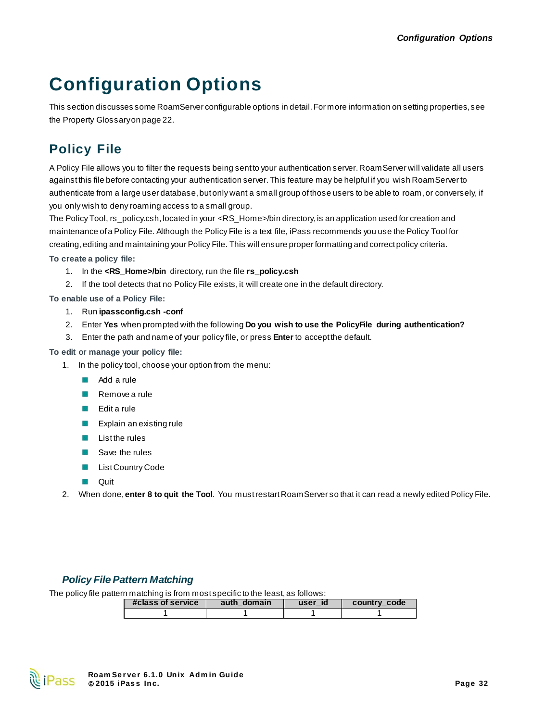# **Configuration Options**

This section discusses some RoamServer configurable options in detail. For more information on setting properties, see the Property Glossary on page 22.

## **Policy File**

A Policy File allows you to filter the requests being sent to your authentication server. RoamServer will validate all users against this file before contacting your authentication server. This feature may be helpful if you wish RoamServer to authenticate from a large user database, but only want a small group of those users to be able to roam, or conversely, if you only wish to deny roaming access to a small group.

The Policy Tool, rs\_policy.csh, located in your <RS\_Home>/bin directory, is an application used for creation and maintenance of a Policy File. Although the Policy File is a text file, iPass recommends you use the Policy Tool for creating, editing and maintaining your Policy File. This will ensure proper formatting and correct policy criteria.

**To create a policy file:**

- 1. In the **<RS\_Home>/bin** directory, run the file **rs\_policy.csh**
- 2. If the tool detects that no Policy File exists, it will create one in the default directory.

**To enable use of a Policy File:**

- 1. Run **ipassconfig.csh -conf**
- 2. Enter **Yes** when prompted with the following **Do you wish to use the PolicyFile during authentication?**
- 3. Enter the path and name of your policy file, or press **Enter** to accept the default.

**To edit or manage your policy file:**

- 1. In the policy tool, choose your option from the menu:
	- **Add a rule**
	- **Remove a rule**
	- **Edit a rule**
	- **Explain an existing rule**
	- **List the rules**
	- Save the rules
	- B List Country Code
	- F. Quit
- 2. When done, **enter 8 to quit the Tool**. You must restart RoamServer so that it can read a newly edited Policy File.

#### *Policy File Pattern Matching*

The policy file pattern matching is from most specific to the least, as follows:

| #class of service | auth domain | user<br>id | country code |
|-------------------|-------------|------------|--------------|
|                   |             |            |              |

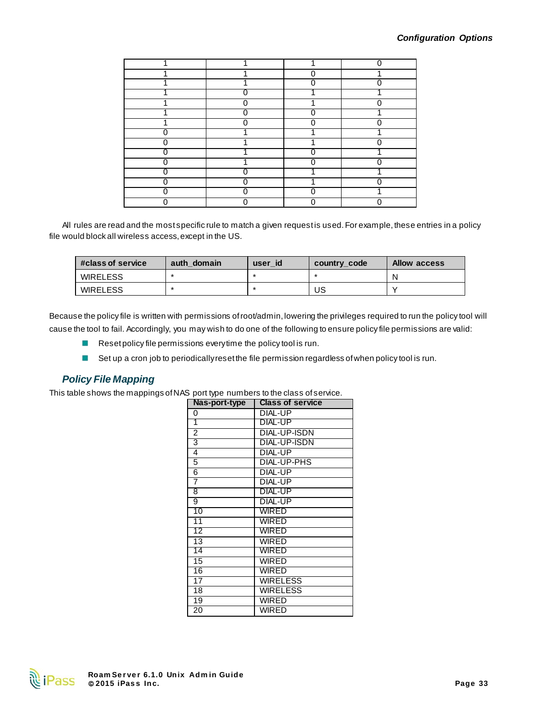| и | 1 |   | U |
|---|---|---|---|
|   |   |   |   |
| 4 | 1 | O | U |
| 4 | ∩ |   |   |
| и | 0 | 1 | U |
|   | ∩ | ∩ |   |
|   | Ω | O |   |
| ∩ |   |   |   |
| O |   |   | O |
| ∩ |   | n |   |
| Π |   | O | 0 |
| ∩ | n |   |   |
| 0 | 0 |   | U |
| ∩ | ∩ |   |   |
|   |   |   |   |

All rules are read and the most specific rule to match a given request is used. For example, these entries in a policy file would block all wireless access, except in the US.

| #class of service | auth domain | user id | country code | <b>Allow access</b> |
|-------------------|-------------|---------|--------------|---------------------|
| <b>WIRELESS</b>   |             |         |              | N                   |
| <b>WIRELESS</b>   |             |         | US           |                     |

Because the policy file is written with permissions of root/admin, lowering the privileges required to run the policy tool will cause the tool to fail. Accordingly, you may wish to do one of the following to ensure policy file permissions are valid:

- Reset policy file permissions every time the policy tool is run. B
- **Set up a cron job to periodically reset the file permission regardless of when policy tool is run.**

#### *Policy File Mapping*

This table shows the mappings of NAS port type numbers to the class of service.

| Nas-port-type   | <b>Class of service</b> |
|-----------------|-------------------------|
| 0               | DIAL-UP                 |
| 1               | DIAL-UP                 |
| 2               | DIAL-UP-ISDN            |
| 3               | DIAL-UP-ISDN            |
| 4               | DIAL-UP                 |
| 5               | DIAL-UP-PHS             |
| 6               | DIAL-UP                 |
| 7               | DIAL-UP                 |
| 8               | DIAL-UP                 |
| 9               | DIAL-UP                 |
| 10              | WIRED                   |
| $\overline{11}$ | <b>WIRED</b>            |
| 12              | WIRED                   |
| 13              | WIRED                   |
| $\overline{14}$ | WIRED                   |
| 15              | WIRED                   |
| 16              | WIRED                   |
| $\overline{17}$ | <b>WIRELESS</b>         |
| 18              | <b>WIRELESS</b>         |
| 19              | WIRED                   |
| 20              | <b>WIRED</b>            |

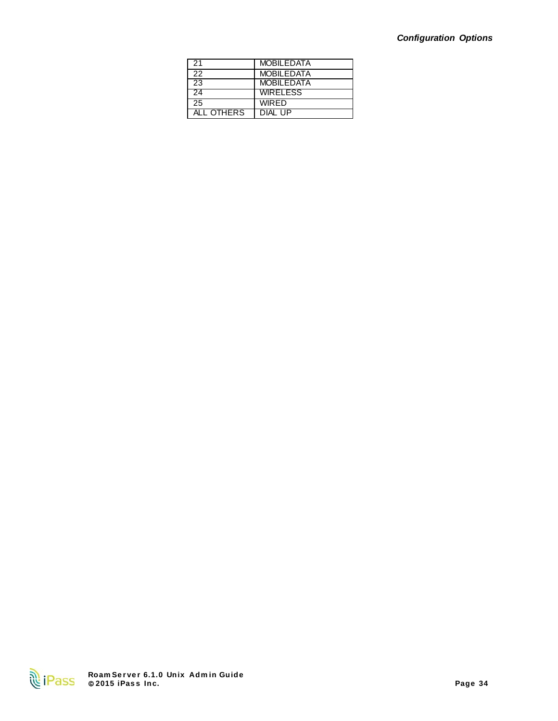| l 21            | <b>MOBILEDATA</b> |
|-----------------|-------------------|
| 22              | <b>MOBILEDATA</b> |
| 23              | <b>MOBILEDATA</b> |
| $\overline{24}$ | WIRFL FSS         |
| 25              | <b>WIRED</b>      |
| ALL OTHERS      | DIAL UP           |

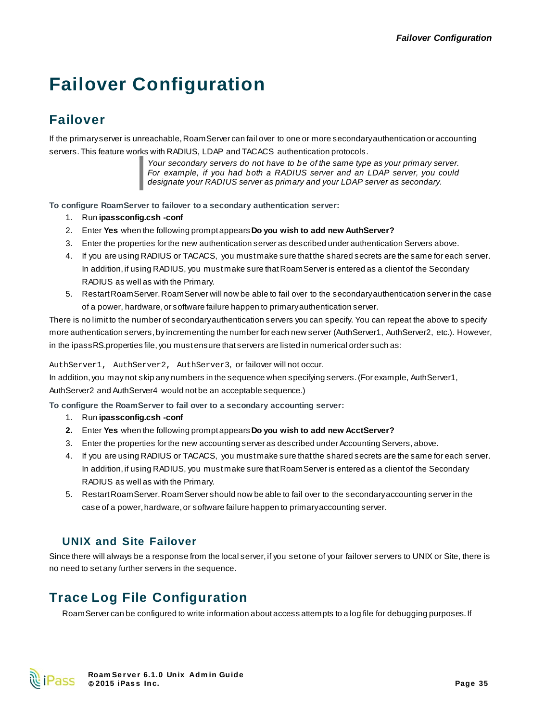# **Failover Configuration**

## <span id="page-34-0"></span>**Failover**

If the primary server is unreachable, RoamServer can fail over to one or more secondary authentication or accounting servers. This feature works with RADIUS, LDAP and TACACS authentication protocols.

> *Your secondary servers do not have to be of the same type as your primary server. For example, if you had both a RADIUS server and an LDAP server, you could designate your RADIUS server as primary and your LDAP server as secondary.*

**To configure RoamServer to failover to a secondary authentication server:**

- 1. Run **ipassconfig.csh -conf**
- 2. Enter **Yes** when the following prompt appears **Do you wish to add new AuthServer?**
- 3. Enter the properties for the new authentication server as described under authentication Servers above.
- 4. If you are using RADIUS or TACACS, you must make sure that the shared secrets are the same for each server. In addition, if using RADIUS, you must make sure that Roam Server is entered as a client of the Secondary RADIUS as well as with the Primary.
- 5. Restart RoamServer. RoamServer will now be able to fail over to the secondary authentication server in the case of a power, hardware, or software failure happen to primary authentication server.

There is no limit to the number of secondary authentication servers you can specify. You can repeat the above to specify more authentication servers, by incrementing the number for each new server (AuthServer1, AuthServer2, etc.). However, in the ipassRS.properties file, you must ensure that servers are listed in numerical order such as:

AuthServer1, AuthServer2, AuthServer3, or failover will not occur.

In addition, you may not skip any numbers in the sequence when specifying servers. (For example, AuthServer1, AuthServer2 and AuthServer4 would not be an acceptable sequence.)

**To configure the RoamServer to fail over to a secondary accounting server:**

- 1. Run **ipassconfig.csh -conf**
- **2.** Enter **Yes** when the following prompt appears **Do you wish to add new AcctServer?**
- 3. Enter the properties for the new accounting server as described under Accounting Servers, above.
- 4. If you are using RADIUS or TACACS, you must make sure that the shared secrets are the same for each server. In addition, if using RADIUS, you must make sure that Roam Server is entered as a client of the Secondary RADIUS as well as with the Primary.
- 5. Restart RoamServer. RoamServer should now be able to fail over to the secondary accounting server in the case of a power, hardware, or software failure happen to primary accounting server.

### **UNIX and Site Failover**

Since there will always be a response from the local server, if you set one of your failover servers to UNIX or Site, there is no need to set any further servers in the sequence.

## **Trace Log File Configuration**

RoamServer can be configured to write information about access attempts to a log file for debugging purposes. If

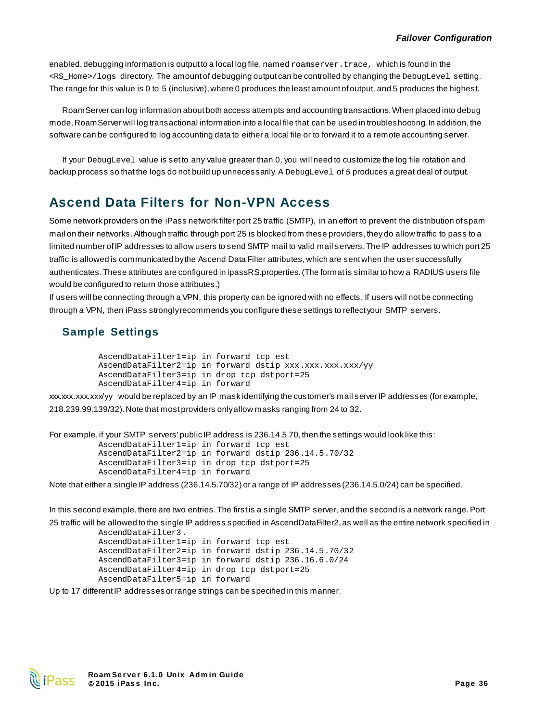enabled, debugging information is output to a local log file, named roamserver.trace, which is found in the <RS\_Home>/logs directory. The amount of debugging output can be controlled by changing the DebugLevel setting. The range for this value is 0 to 5 (inclusive), where 0 produces the least amount of output, and 5 produces the highest.

RoamServer can log information about both access attempts and accounting transactions. When placed into debug mode, RoamServer will log transactional information into a local file that can be used in troubleshooting. In addition, the software can be configured to log accounting data to either a local file or to forward it to a remote accounting server.

If your DebugLevel value is set to any value greater than 0, you will need to customize the log file rotation and backup process so that the logs do not build up unnecessarily. A DebugLevel of *5* produces a great deal of output.

### **Ascend Data Filters for Non-VPN Access**

Some network providers on the iPass network filter port 25 traffic (SMTP), in an effort to prevent the distribution of spam mail on their networks. Although traffic through port 25 is blocked from these providers, they do allow traffic to pass to a limited number of IP addresses to allow users to send SMTP mail to valid mail servers. The IP addresses to which port 25 traffic is allowed is communicated by the Ascend Data Filter attributes, which are sent when the user successfully authenticates. These attributes are configured in ipassRS.properties. (The format is similar to how a RADIUS users file would be configured to return those attributes.)

If users will be connecting through a VPN, this property can be ignored with no effects. If users will not be connecting through a VPN, then iPass strongly recommends you configure these settings to reflect your SMTP servers.

#### **Sample Settings**

AscendDataFilter1=ip in forward tcp est AscendDataFilter2=ip in forward dstip xxx.xxx.xxx.xxx/yy AscendDataFilter3=ip in drop tcp dstport=25 AscendDataFilter4=ip in forward

xxx.xxx.xxx.xxx/yy would be replaced by an IP mask identifying the customer's mail server IP addresses (for example, 218.239.99.139/32). Note that most providers only allow masks ranging from 24 to 32.

For example, if your SMTP servers' public IP address is 236.14.5.70, then the settings would look like this:

```
AscendDataFilter1=ip in forward tcp est
AscendDataFilter2=ip in forward dstip 236.14.5.70/32
AscendDataFilter3=ip in drop tcp dstport=25
AscendDataFilter4=ip in forward
```
Note that either a single IP address (236.14.5.70/32) or a range of IP addresses (236.14.5.0/24) can be specified.

In this second example, there are two entries. The first is a single SMTP server, and the second is a network range. Port 25 traffic will be allowed to the single IP address specified in AscendDataFilter2, as well as the entire network specified in

```
AscendDataFilter3.
AscendDataFilter1=ip in forward tcp est
AscendDataFilter2=ip in forward dstip 236.14.5.70/32
AscendDataFilter3=ip in forward dstip 236.16.6.0/24
AscendDataFilter4=ip in drop tcp dstport=25
AscendDataFilter5=ip in forward
```
Up to 17 different IP addresses or range strings can be specified in this manner.

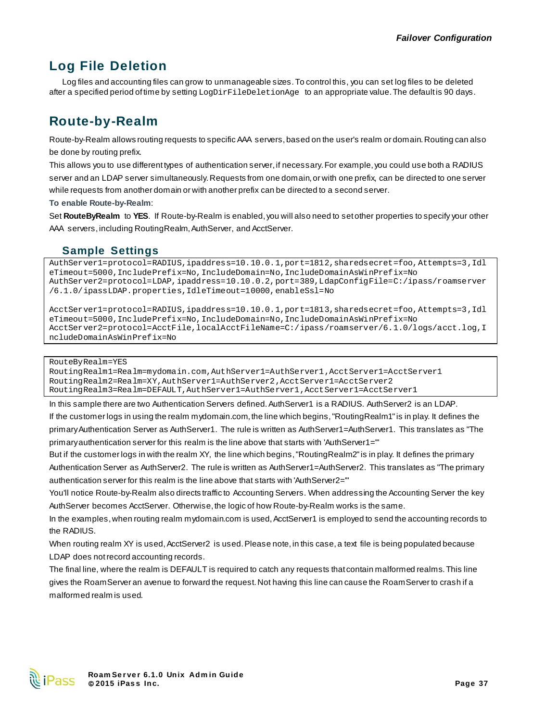## **Log File Deletion**

Log files and accounting files can grow to unmanageable sizes. To control this, you can set log files to be deleted after a specified period of time by setting LogDirFileDeletionAge to an appropriate value. The default is 90 days.

## **Route-by-Realm**

Route-by-Realm allows routing requests to specific AAA servers, based on the user's realm or domain. Routing can also be done by routing prefix.

This allows you to use different types of authentication server, if necessary. For example, you could use both a RADIUS server and an LDAP server simultaneously. Requests from one domain, or with one prefix, can be directed to one server while requests from another domain or with another prefix can be directed to a second server.

**To enable Route-by-Realm**:

Set **RouteByRealm** to **YES**. If Route-by-Realm is enabled, you will also need to set other properties to specify your other AAA servers, including RoutingRealm, AuthServer, and AcctServer.

#### **Sample Settings**

AuthServer1=protocol=RADIUS,ipaddress=10.10.0.1,port=1812,sharedsecret=foo,Attempts=3,Idl eTimeout=5000,IncludePrefix=No,IncludeDomain=No,IncludeDomainAsWinPrefix=No AuthServer2=protocol=LDAP,ipaddress=10.10.0.2,port=389,LdapConfigFile=C:/ipass/roamserver /6.1.0/ipassLDAP.properties,IdleTimeout=10000,enableSsl=No

AcctServer1=protocol=RADIUS,ipaddress=10.10.0.1,port=1813,sharedsecret=foo,Attempts=3,Idl eTimeout=5000,IncludePrefix=No,IncludeDomain=No,IncludeDomainAsWinPrefix=No AcctServer2=protocol=AcctFile,localAcctFileName=C:/ipass/roamserver/6.1.0/logs/acct.log,I ncludeDomainAsWinPrefix=No

#### RouteByRealm=YES

RoutingRealm1=Realm=mydomain.com,AuthServer1=AuthServer1,AcctServer1=AcctServer1 RoutingRealm2=Realm=XY,AuthServer1=AuthServer2,AcctServer1=AcctServer2 RoutingRealm3=Realm=DEFAULT,AuthServer1=AuthServer1,AcctServer1=AcctServer1

In this sample there are two Authentication Servers defined. AuthServer1 is a RADIUS. AuthServer2 is an LDAP. If the customer logs in using the realm mydomain.com, the line which begins, "RoutingRealm1" is in play. It defines the primary Authentication Server as AuthServer1. The rule is written as AuthServer1=AuthServer1. This translates as "The primary authentication server for this realm is the line above that starts with 'AuthServer1='"

But if the customer logs in with the realm XY, the line which begins, "RoutingRealm2" is in play. It defines the primary Authentication Server as AuthServer2. The rule is written as AuthServer1=AuthServer2. This translates as "The primary authentication server for this realm is the line above that starts with 'AuthServer2='"

You'll notice Route-by-Realm also directs traffic to Accounting Servers. When addressing the Accounting Server the key AuthServer becomes AcctServer. Otherwise, the logic of how Route-by-Realm works is the same.

In the examples, when routing realm mydomain.com is used, AcctServer1 is employed to send the accounting records to the RADIUS.

When routing realm XY is used, AcctServer2 is used. Please note, in this case, a text file is being populated because LDAP does not record accounting records.

The final line, where the realm is DEFAULT is required to catch any requests that contain malformed realms. This line gives the RoamServer an avenue to forward the request. Not having this line can cause the RoamServer to crash if a malformed realm is used.

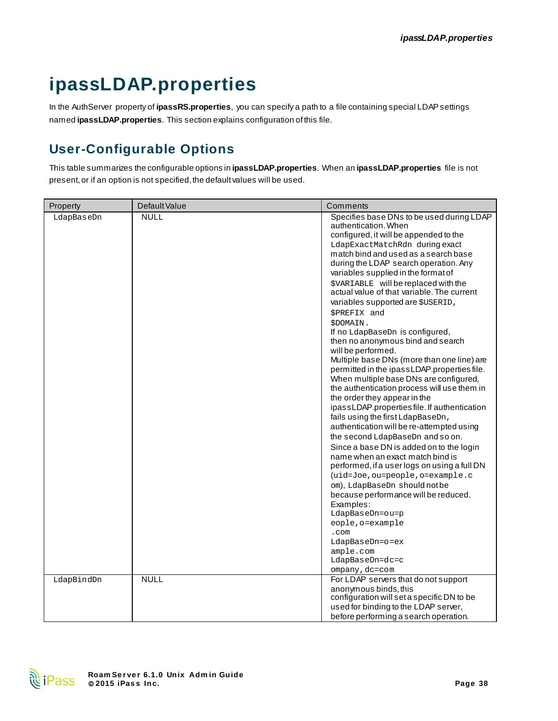# **ipassLDAP.properties**

In the AuthServer property of **ipassRS.properties**, you can specify a path to a file containing special LDAP settings named **ipassLDAP.properties**. This section explains configuration of this file.

## **User-Configurable Options**

This table summarizes the configurable options in **ipassLDAP.properties**. When an **ipassLDAP.properties** file is not present, or if an option is not specified, the default values will be used.

| Property   | Default Value | Comments                                                                                                                                                                                                                                                                                                                                                                                                                                                                                                                                                                                                                                                                                                                                                                                                                                                                                                                                                                                                                                                                                                                                                                                                                                                                                               |
|------------|---------------|--------------------------------------------------------------------------------------------------------------------------------------------------------------------------------------------------------------------------------------------------------------------------------------------------------------------------------------------------------------------------------------------------------------------------------------------------------------------------------------------------------------------------------------------------------------------------------------------------------------------------------------------------------------------------------------------------------------------------------------------------------------------------------------------------------------------------------------------------------------------------------------------------------------------------------------------------------------------------------------------------------------------------------------------------------------------------------------------------------------------------------------------------------------------------------------------------------------------------------------------------------------------------------------------------------|
| LdapBaseDn | <b>NULL</b>   | Specifies base DNs to be used during LDAP<br>authentication. When<br>configured, it will be appended to the<br>LdapExactMatchRdn during exact<br>match bind and used as a search base<br>during the LDAP search operation. Any<br>variables supplied in the format of<br>\$VARIABLE will be replaced with the<br>actual value of that variable. The current<br>variables supported are \$USERID,<br>\$PREFIX and<br>SDOMAIN.<br>If no LdapBaseDn is configured,<br>then no anonymous bind and search<br>will be performed.<br>Multiple base DNs (more than one line) are<br>permitted in the ipassLDAP.properties file.<br>When multiple base DNs are configured,<br>the authentication process will use them in<br>the order they appear in the<br>ipassLDAP.properties file. If authentication<br>fails using the first LdapBaseDn,<br>authentication will be re-attempted using<br>the second LdapBaseDn and so on.<br>Since a base DN is added on to the login<br>name when an exact match bind is<br>performed, if a user logs on using a full DN<br>(uid=Joe, ou=people, o=example.c<br>om), LdapBaseDn should notbe<br>because performance will be reduced.<br>Examples:<br>LdapBaseDn=ou=p<br>eople, o=example<br>.com<br>$L$ dapBaseDn=o=ex<br>ample.com<br>LdapBaseDn=dc=c<br>ompany, dc=com |
| LdapBindDn | <b>NULL</b>   | For LDAP servers that do not support<br>anonymous binds, this                                                                                                                                                                                                                                                                                                                                                                                                                                                                                                                                                                                                                                                                                                                                                                                                                                                                                                                                                                                                                                                                                                                                                                                                                                          |
|            |               | configuration will set a specific DN to be                                                                                                                                                                                                                                                                                                                                                                                                                                                                                                                                                                                                                                                                                                                                                                                                                                                                                                                                                                                                                                                                                                                                                                                                                                                             |
|            |               | used for binding to the LDAP server,                                                                                                                                                                                                                                                                                                                                                                                                                                                                                                                                                                                                                                                                                                                                                                                                                                                                                                                                                                                                                                                                                                                                                                                                                                                                   |
|            |               | before performing a search operation.                                                                                                                                                                                                                                                                                                                                                                                                                                                                                                                                                                                                                                                                                                                                                                                                                                                                                                                                                                                                                                                                                                                                                                                                                                                                  |

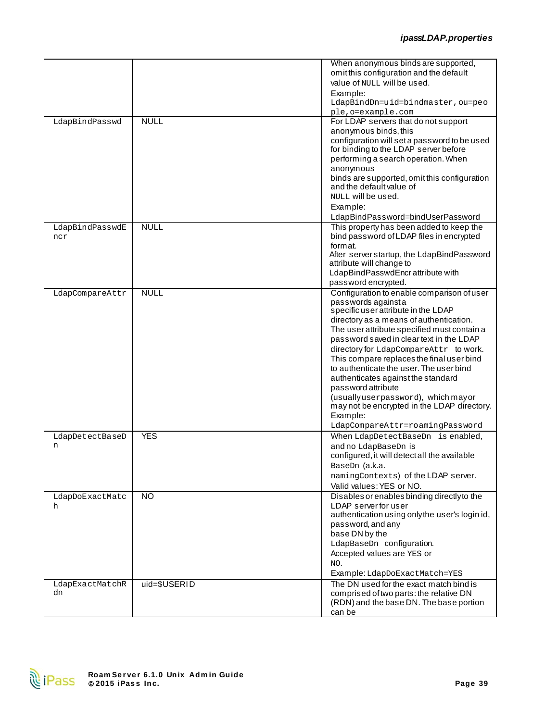|                 |              | When anonymous binds are supported,            |
|-----------------|--------------|------------------------------------------------|
|                 |              | omit this configuration and the default        |
|                 |              |                                                |
|                 |              | value of NULL will be used.                    |
|                 |              | Example:                                       |
|                 |              | LdapBindDn=uid=bindmaster, ou=peo              |
|                 |              | ple, o=example.com                             |
| LdapBindPasswd  | <b>NULL</b>  | For LDAP servers that do not support           |
|                 |              | anonymous binds, this                          |
|                 |              | configuration will set a password to be used   |
|                 |              | for binding to the LDAP server before          |
|                 |              | performing a search operation. When            |
|                 |              | anonymous                                      |
|                 |              | binds are supported, omit this configuration   |
|                 |              | and the default value of                       |
|                 |              | NULL will be used.                             |
|                 |              | Example:                                       |
|                 |              | LdapBindPassword=bindUserPassword              |
| LdapBindPasswdE | <b>NULL</b>  | This property has been added to keep the       |
| ncr             |              | bind password of LDAP files in encrypted       |
|                 |              | format.                                        |
|                 |              | After server startup, the LdapBindPassword     |
|                 |              | attribute will change to                       |
|                 |              | LdapBindPasswdEncr attribute with              |
|                 |              | password encrypted.                            |
| LdapCompareAttr | <b>NULL</b>  | Configuration to enable comparison of user     |
|                 |              | passwords against a                            |
|                 |              | specific user attribute in the LDAP            |
|                 |              | directory as a means of authentication.        |
|                 |              | The user attribute specified must contain a    |
|                 |              | password saved in clear text in the LDAP       |
|                 |              |                                                |
|                 |              | directory for LdapCompareAttr to work.         |
|                 |              | This compare replaces the final user bind      |
|                 |              | to authenticate the user. The user bind        |
|                 |              | authenticates against the standard             |
|                 |              | password attribute                             |
|                 |              | (usuallyuserpassword), which mayor             |
|                 |              | may not be encrypted in the LDAP directory.    |
|                 |              | Example:                                       |
|                 |              | LdapCompareAttr=roamingPassword                |
| LdapDetectBaseD | <b>YES</b>   | When LdapDetectBaseDn is enabled,              |
| n               |              | and no LdapBaseDn is                           |
|                 |              | configured, it will detect all the available   |
|                 |              | BaseDn (a.k.a.                                 |
|                 |              | namingContexts) of the LDAP server.            |
|                 |              | Valid values: YES or NO.                       |
| LdapDoExactMatc | <b>NO</b>    | Disables or enables binding directly to the    |
| h               |              | LDAP server for user                           |
|                 |              | authentication using only the user's login id, |
|                 |              | password, and any                              |
|                 |              | base DN by the                                 |
|                 |              |                                                |
|                 |              | LdapBaseDn configuration.                      |
|                 |              | Accepted values are YES or                     |
|                 |              | NO.                                            |
|                 |              | Example: LdapDoExactMatch=YES                  |
| LdapExactMatchR | uid=\$USERID | The DN used for the exact match bind is        |
| dn              |              | comprised of two parts: the relative DN        |
|                 |              | (RDN) and the base DN. The base portion        |
|                 |              | can be                                         |
|                 |              |                                                |

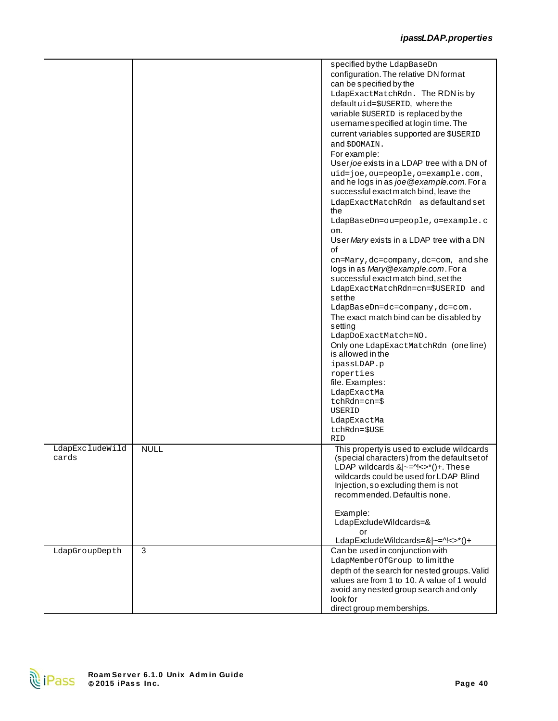|                          |             | specified by the LdapBaseDn<br>configuration. The relative DN format<br>can be specified by the<br>LdapExactMatchRdn. The RDN is by<br>default uid=\$USERID, where the<br>variable \$USERID is replaced by the<br>usernamespecified at login time. The<br>current variables supported are \$USERID<br>and \$DOMAIN.<br>For example:<br>User joe exists in a LDAP tree with a DN of<br>uid=joe, ou=people, o=example.com,<br>and he logs in as joe @example.com. For a<br>successful exact match bind, leave the<br>LdapExactMatchRdn as default and set<br>the<br>LdapBaseDn=ou=people, o=example.c<br>om.<br>User Mary exists in a LDAP tree with a DN<br>οf<br>$cn = Mary, dc = company, dc = com, and she$<br>logs in as Mary @example.com. For a<br>successful exact match bind, set the<br>LdapExactMatchRdn=cn=\$USERID and<br>setthe<br>LdapBaseDn=dc=company, dc=com.<br>The exact match bind can be disabled by<br>setting<br>LdapDoExactMatch=NO.<br>Only one LdapExactMatchRdn (one line)<br>is allowed in the<br>ipassLDAP.p<br>roperties<br>file. Examples:<br>LdapExactMa<br>$tchRdn = cn = $$<br><b>USERID</b><br>LdapExactMa<br>tchRdn=\$USE |
|--------------------------|-------------|--------------------------------------------------------------------------------------------------------------------------------------------------------------------------------------------------------------------------------------------------------------------------------------------------------------------------------------------------------------------------------------------------------------------------------------------------------------------------------------------------------------------------------------------------------------------------------------------------------------------------------------------------------------------------------------------------------------------------------------------------------------------------------------------------------------------------------------------------------------------------------------------------------------------------------------------------------------------------------------------------------------------------------------------------------------------------------------------------------------------------------------------------------------|
| LdapExcludeWild<br>cards | <b>NULL</b> | <b>RID</b><br>This property is used to exclude wildcards<br>(special characters) from the default set of<br>LDAP wildcards $&\leftarrow^{-N}>>^*()+$ . These                                                                                                                                                                                                                                                                                                                                                                                                                                                                                                                                                                                                                                                                                                                                                                                                                                                                                                                                                                                                 |
|                          |             | wildcards could be used for LDAP Blind<br>Injection, so excluding them is not<br>recommended. Default is none.                                                                                                                                                                                                                                                                                                                                                                                                                                                                                                                                                                                                                                                                                                                                                                                                                                                                                                                                                                                                                                               |
|                          |             | Example:<br>LdapExcludeWildcards=&<br>or                                                                                                                                                                                                                                                                                                                                                                                                                                                                                                                                                                                                                                                                                                                                                                                                                                                                                                                                                                                                                                                                                                                     |
| LdapGroupDepth           | 3           | LdapExcludeWildcards=& ~=^!<>*()+<br>Can be used in conjunction with                                                                                                                                                                                                                                                                                                                                                                                                                                                                                                                                                                                                                                                                                                                                                                                                                                                                                                                                                                                                                                                                                         |
|                          |             | LdapMemberOfGroup to limit the                                                                                                                                                                                                                                                                                                                                                                                                                                                                                                                                                                                                                                                                                                                                                                                                                                                                                                                                                                                                                                                                                                                               |
|                          |             | depth of the search for nested groups. Valid<br>values are from 1 to 10. A value of 1 would                                                                                                                                                                                                                                                                                                                                                                                                                                                                                                                                                                                                                                                                                                                                                                                                                                                                                                                                                                                                                                                                  |
|                          |             | avoid any nested group search and only                                                                                                                                                                                                                                                                                                                                                                                                                                                                                                                                                                                                                                                                                                                                                                                                                                                                                                                                                                                                                                                                                                                       |
|                          |             | look for                                                                                                                                                                                                                                                                                                                                                                                                                                                                                                                                                                                                                                                                                                                                                                                                                                                                                                                                                                                                                                                                                                                                                     |
|                          |             | direct group memberships.                                                                                                                                                                                                                                                                                                                                                                                                                                                                                                                                                                                                                                                                                                                                                                                                                                                                                                                                                                                                                                                                                                                                    |

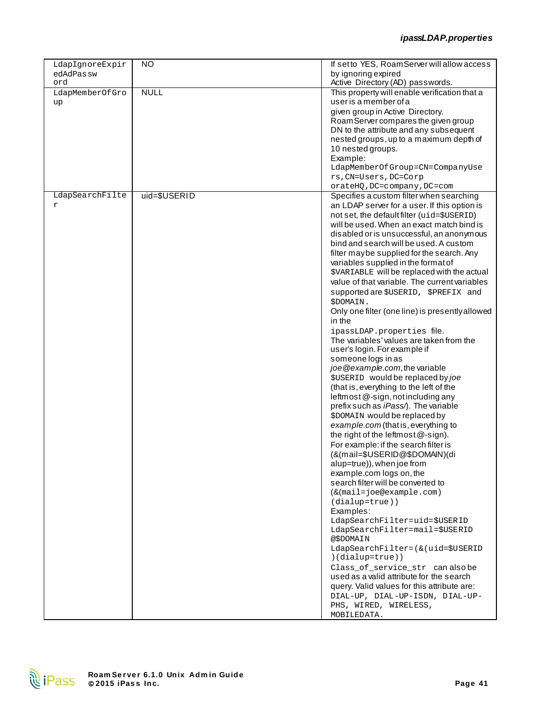| LdapIgnoreExpir       | <b>NO</b>    | If set to YES, Roam Server will allow access                            |
|-----------------------|--------------|-------------------------------------------------------------------------|
| edAdPassw             |              | by ignoring expired                                                     |
| ord                   |              | Active Directory (AD) passwords.                                        |
| LdapMemberOfGro<br>up | <b>NULL</b>  | This property will enable verification that a<br>user is a member of a  |
|                       |              | given group in Active Directory.                                        |
|                       |              | Roam Server compares the given group                                    |
|                       |              | DN to the attribute and any subsequent                                  |
|                       |              | nested groups, up to a maximum depth of                                 |
|                       |              | 10 nested groups.                                                       |
|                       |              | Example:                                                                |
|                       |              | LdapMemberOfGroup=CN=CompanyUse                                         |
|                       |              | rs, CN=Users, DC=Corp                                                   |
| LdapSearchFilte       | uid=\$USERID | orateHQ, DC=company, DC=com<br>Specifies a custom filter when searching |
| $\,$ $\,$ $\,$        |              | an LDAP server for a user. If this option is                            |
|                       |              | not set, the default filter (uid=\$USERID)                              |
|                       |              | will be used. When an exact match bind is                               |
|                       |              | disabled or is unsuccessful, an anonymous                               |
|                       |              | bind and search will be used. A custom                                  |
|                       |              | filter maybe supplied for the search. Any                               |
|                       |              | variables supplied in the format of                                     |
|                       |              | \$VARIABLE will be replaced with the actual                             |
|                       |              | value of that variable. The current variables                           |
|                       |              | supported are \$USERID, \$PREFIX and                                    |
|                       |              | <b>\$DOMAIN.</b>                                                        |
|                       |              | Only one filter (one line) is presently allowed                         |
|                       |              | in the                                                                  |
|                       |              | ipassLDAP.properties file.                                              |
|                       |              | The variables' values are taken from the                                |
|                       |              | user's login. For example if                                            |
|                       |              | someone logs in as                                                      |
|                       |              | joe @example.com, the variable                                          |
|                       |              | \$USERID would be replaced by joe                                       |
|                       |              | (that is, everything to the left of the                                 |
|                       |              | leftmost @-sign, not including any                                      |
|                       |              | prefix such as iPass/). The variable<br>\$DOMAIN would be replaced by   |
|                       |              | example.com (that is, everything to                                     |
|                       |              | the right of the leftmost @-sign).                                      |
|                       |              | For example: if the search filter is                                    |
|                       |              | (&(mail=\$USERID@\$DOMAIN)(di                                           |
|                       |              | alup=true)), when joe from                                              |
|                       |              | example.com logs on, the                                                |
|                       |              | search filter will be converted to                                      |
|                       |              | $(8(mail = joe@example.com))$                                           |
|                       |              | $(dialup=true)$ )                                                       |
|                       |              | Examples:                                                               |
|                       |              | LdapSearchFilter=uid=\$USERID                                           |
|                       |              | LdapSearchFilter=mail=\$USERID<br>@\$DOMAIN                             |
|                       |              | LdapSearchFilter=(&(uid=\$USERID                                        |
|                       |              | )(dialup=true))                                                         |
|                       |              | Class_of_service_str canalsobe                                          |
|                       |              | used as a valid attribute for the search                                |
|                       |              | query. Valid values for this attribute are:                             |
|                       |              | DIAL-UP, DIAL-UP-ISDN, DIAL-UP-                                         |
|                       |              | PHS, WIRED, WIRELESS,                                                   |
|                       |              | MOBILEDATA.                                                             |

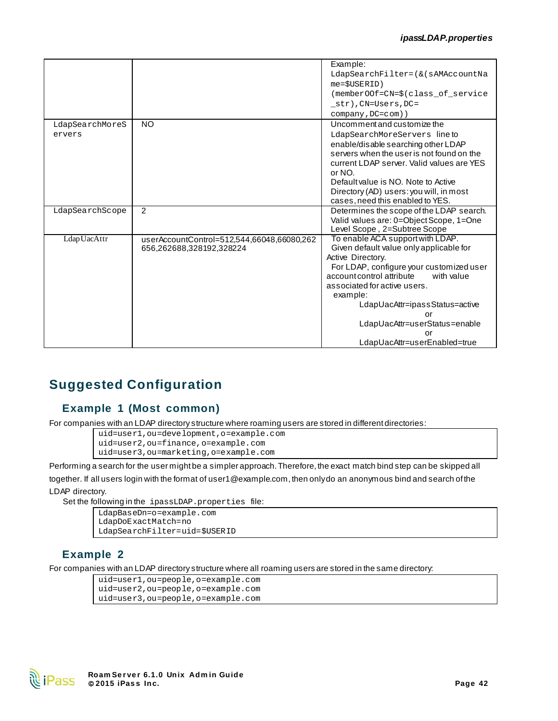|                           |                                                                        | Example:<br>LdapSearchFilter=(&(sAMAccountNa<br>$me = SUBERID)$<br>(member00f=CN=\$(class_of_service<br>_str), CN=Users, DC=<br>$company, DC=com)$ )                                                                                                                                                                                               |
|---------------------------|------------------------------------------------------------------------|----------------------------------------------------------------------------------------------------------------------------------------------------------------------------------------------------------------------------------------------------------------------------------------------------------------------------------------------------|
| LdapSearchMoreS<br>ervers | <b>NO</b>                                                              | Uncomment and customize the<br>LdapSearchMoreServers line to<br>enable/disable searching other LDAP<br>servers when the user is not found on the<br>current LDAP server. Valid values are YES<br>or NO.<br>Default value is NO. Note to Active<br>Directory (AD) users: you will, in most<br>cases, need this enabled to YES.                      |
| LdapSearchScope           | $\mathcal{P}$                                                          | Determines the scope of the LDAP search.<br>Valid values are: 0=Object Scope, 1=One<br>Level Scope, 2=Subtree Scope                                                                                                                                                                                                                                |
| LdapUacAttr               | userAccountControl=512,544,66048,66080,262<br>656,262688,328192,328224 | To enable ACA support with LDAP.<br>Given default value only applicable for<br>Active Directory.<br>For LDAP, configure your customized user<br>account control attribute<br>with value<br>associated for active users.<br>example:<br>LdapUacAttr=ipassStatus=active<br>or<br>LdapUacAttr=userStatus=enable<br>or<br>LdapUacAttr=userEnabled=true |

## **Suggested Configuration**

### **Example 1 (Most common)**

For companies with an LDAP directory structure where roaming users are stored in different directories:

| uid=user1,ou=development,o=example.com |  |
|----------------------------------------|--|
| uid=user2,ou=finance,o=example.com     |  |
| uid=user3,ou=marketing,o=example.com   |  |

Performing a search for the user might be a simpler approach. Therefore, the exact match bind step can be skipped all together. If all users login with the format of user1@example.com, then only do an anonymous bind and search of the LDAP directory.

Set the following in the ipassLDAP.properties file:

LdapBaseDn=o=example.com LdapDoExactMatch=no LdapSearchFilter=uid=\$USERID

### **Example 2**

For companies with an LDAP directory structure where all roaming users are stored in the same directory:

```
uid=user1,ou=people,o=example.com
uid=user2,ou=people,o=example.com
uid=user3,ou=people,o=example.com
```
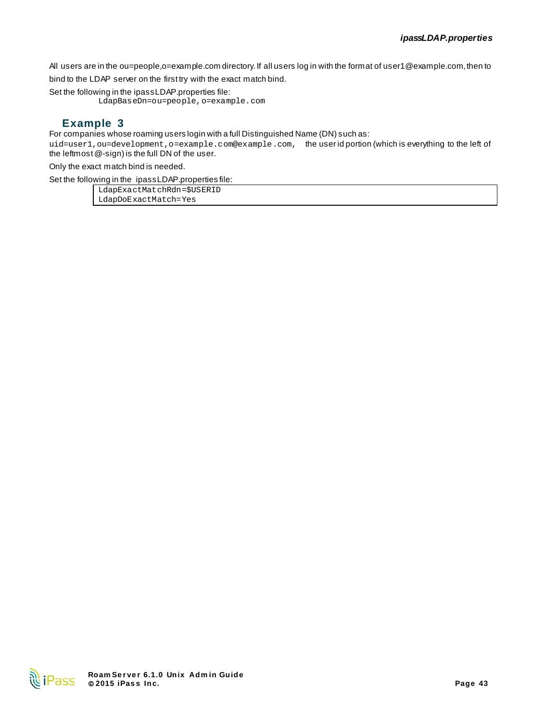All users are in the ou=people,o=example.com directory. If all users log in with the format of user1@example.com, then to

bind to the LDAP server on the first try with the exact match bind.

Set the following in the ipassLDAP.properties file: LdapBaseDn=ou=people,o=example.com

### **Example 3**

For companies whose roaming users login with a full Distinguished Name (DN) such as:

uid=user1,ou=development,o=example.com@example.com, the user id portion (which is everything to the left of the leftmost @-sign) is the full DN of the user.

Only the exact match bind is needed.

Set the following in the ipassLDAP.properties file:

| LdapExactMatchRdn=\$USERID |
|----------------------------|
| LdapDoExactMatch=Yes       |
|                            |

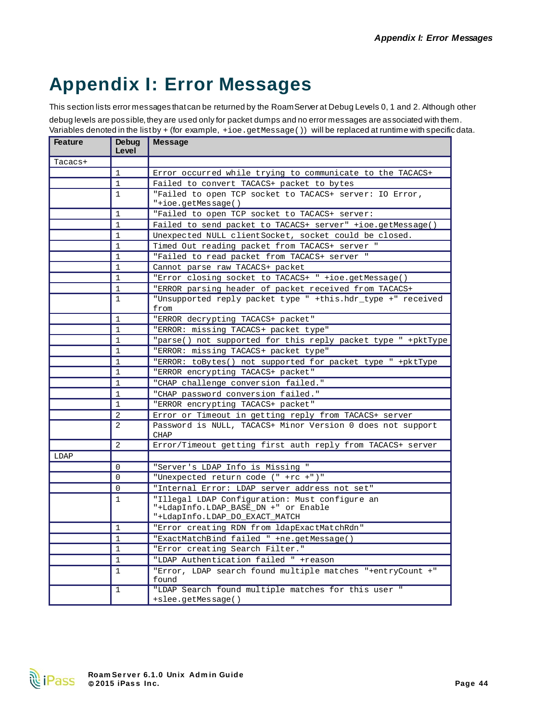# **Appendix I: Error Messages**

This section lists error messages that can be returned by the RoamServer at Debug Levels 0, 1 and 2. Although other debug levels are possible, they are used only for packet dumps and no error messages are associated with them. Variables denoted in the list by + (for example, +ioe.getMessage()) will be replaced at runtime with specific data.

| <b>Feature</b> | Debug<br>Level | <b>Message</b>                                                                         |  |  |  |
|----------------|----------------|----------------------------------------------------------------------------------------|--|--|--|
| Tacacs+        |                |                                                                                        |  |  |  |
|                | 1              | Error occurred while trying to communicate to the TACACS+                              |  |  |  |
|                | $\mathbf{1}$   | Failed to convert TACACS+ packet to bytes                                              |  |  |  |
|                | $\mathbf{1}$   | "Failed to open TCP socket to TACACS+ server: IO Error,                                |  |  |  |
|                |                | "+ioe.getMessage()                                                                     |  |  |  |
|                | $\mathbf 1$    | "Failed to open TCP socket to TACACS+ server:                                          |  |  |  |
|                | 1              | Failed to send packet to TACACS+ server" +ioe.getMessage()                             |  |  |  |
|                | $\mathbf 1$    | Unexpected NULL clientSocket, socket could be closed.                                  |  |  |  |
|                | $\mathbf{1}$   | Timed Out reading packet from TACACS+ server "                                         |  |  |  |
|                | $\mathbf{1}$   | "Failed to read packet from TACACS+ server "                                           |  |  |  |
|                | $\mathbf{1}$   | Cannot parse raw TACACS+ packet                                                        |  |  |  |
|                | $\mathbf 1$    | "Error closing socket to TACACS+ " +ioe.getMessage()                                   |  |  |  |
|                | $\mathbf{1}$   | "ERROR parsing header of packet received from TACACS+                                  |  |  |  |
|                | $\mathbf{1}$   | "Unsupported reply packet type " +this.hdr_type +" received<br>from                    |  |  |  |
|                | 1              | "ERROR decrypting TACACS+ packet"                                                      |  |  |  |
|                | $1\,$          | "ERROR: missing TACACS+ packet type"                                                   |  |  |  |
|                | $\mathbf{1}$   | "parse() not supported for this reply packet type " +pktType                           |  |  |  |
|                | 1              | "ERROR: missing TACACS+ packet type"                                                   |  |  |  |
|                | $\mathbf{1}$   | "ERROR: toBytes() not supported for packet type " +pktType                             |  |  |  |
|                | $\mathbf{1}$   | "ERROR encrypting TACACS+ packet"                                                      |  |  |  |
|                | $\mathbf 1$    | "CHAP challenge conversion failed."                                                    |  |  |  |
|                | $\mathbf 1$    | "CHAP password conversion failed."                                                     |  |  |  |
|                | $\mathbf{1}$   | "ERROR encrypting TACACS+ packet"                                                      |  |  |  |
|                | 2              | Error or Timeout in getting reply from TACACS+ server                                  |  |  |  |
|                | 2              | Password is NULL, TACACS+ Minor Version 0 does not support<br><b>CHAP</b>              |  |  |  |
|                | 2              | Error/Timeout getting first auth reply from TACACS+ server                             |  |  |  |
| LDAP           |                |                                                                                        |  |  |  |
|                | $\mathbf 0$    | "Server's LDAP Info is Missing "                                                       |  |  |  |
|                | 0              | "Unexpected return code (" +rc +")"                                                    |  |  |  |
|                | 0              | "Internal Error: LDAP server address not set"                                          |  |  |  |
|                | $\mathbf{1}$   | "Illegal LDAP Configuration: Must configure an<br>"+LdapInfo.LDAP BASE DN +" or Enable |  |  |  |
|                |                | "+LdapInfo.LDAP_DO_EXACT_MATCH                                                         |  |  |  |
|                | $\mathbf{1}$   | "Error creating RDN from ldapExactMatchRdn"                                            |  |  |  |
|                | $\mathbf 1$    | "ExactMatchBind failed " +ne.getMessage()                                              |  |  |  |
|                | $\mathbf{1}$   | "Error creating Search Filter."                                                        |  |  |  |
|                | $\mathbf{1}$   | "LDAP Authentication failed " +reason                                                  |  |  |  |
|                | $\mathbf{1}$   | "Error, LDAP search found multiple matches "+entryCount +"<br>found                    |  |  |  |
|                | $\mathbf{1}$   | "LDAP Search found multiple matches for this user "<br>+slee.getMessage()              |  |  |  |

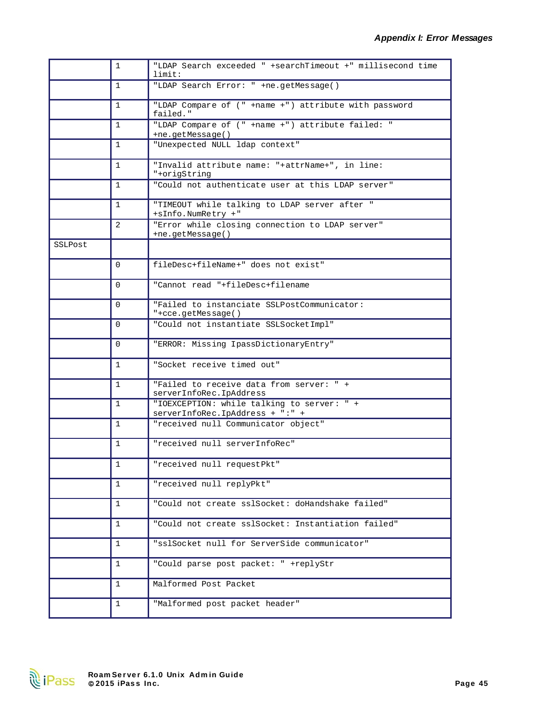|         | 1            | "LDAP Search exceeded " +searchTimeout +" millisecond time<br>limit:          |  |  |  |
|---------|--------------|-------------------------------------------------------------------------------|--|--|--|
|         | $\mathbf{1}$ | "LDAP Search Error: " +ne.getMessage()                                        |  |  |  |
|         | 1            | "LDAP Compare of (" +name +") attribute with password<br>failed."             |  |  |  |
|         | $\mathbf{1}$ | "LDAP Compare of (" +name +") attribute failed: "<br>+ne.getMessage()         |  |  |  |
|         | $\mathbf{1}$ | "Unexpected NULL ldap context"                                                |  |  |  |
|         | 1            | "Invalid attribute name: "+attrName+", in line:<br>"+origString               |  |  |  |
|         | $\mathbf{1}$ | "Could not authenticate user at this LDAP server"                             |  |  |  |
|         | $\mathbf{1}$ | "TIMEOUT while talking to LDAP server after "<br>+sInfo.NumRetry +"           |  |  |  |
|         | 2            | "Error while closing connection to LDAP server"                               |  |  |  |
|         |              | +ne.getMessage()                                                              |  |  |  |
| SSLPost |              |                                                                               |  |  |  |
|         | $\Omega$     | fileDesc+fileName+" does not exist"                                           |  |  |  |
|         | 0            | "Cannot read "+fileDesc+filename                                              |  |  |  |
|         | $\Omega$     | "Failed to instanciate SSLPostCommunicator:<br>"+cce.getMessage()             |  |  |  |
|         | $\Omega$     | "Could not instantiate SSLSocketImpl"                                         |  |  |  |
|         | 0            | "ERROR: Missing IpassDictionaryEntry"                                         |  |  |  |
|         | $\mathbf{1}$ | "Socket receive timed out"                                                    |  |  |  |
|         | $\mathbf{1}$ | "Failed to receive data from server: " +<br>serverInfoRec.IpAddress           |  |  |  |
|         | $\mathbf{1}$ | "IOEXCEPTION: while talking to server: " +<br>serverInfoRec.IpAddress + ":" + |  |  |  |
|         | $\mathbf{1}$ | "received null Communicator object"                                           |  |  |  |
|         | 1            | "received null serverInfoRec"                                                 |  |  |  |
|         | 1            | "received null requestPkt"                                                    |  |  |  |
|         | 1            | "received null replyPkt"                                                      |  |  |  |
|         | 1            | "Could not create sslSocket: doHandshake failed"                              |  |  |  |
|         | 1            | "Could not create sslSocket: Instantiation failed"                            |  |  |  |
|         | 1            | "sslSocket null for ServerSide communicator"                                  |  |  |  |
|         | 1            | "Could parse post packet: " +replyStr                                         |  |  |  |
|         | 1            | Malformed Post Packet                                                         |  |  |  |
|         | 1            | "Malformed post packet header"                                                |  |  |  |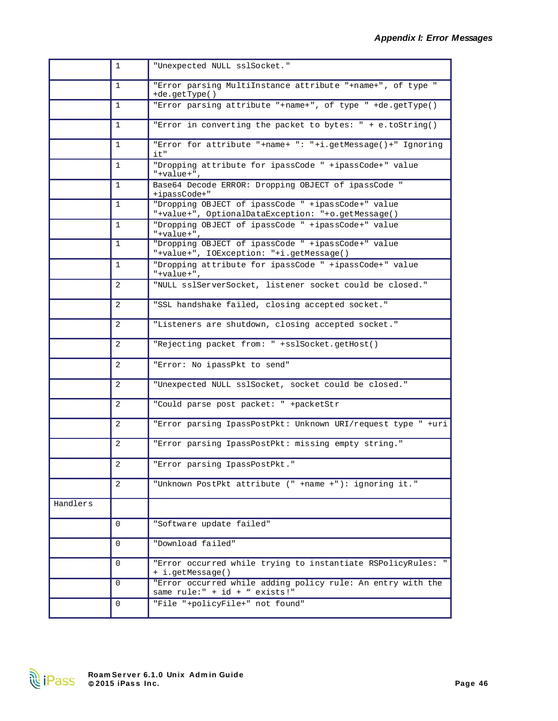|          | 1           | "Unexpected NULL sslSocket."                                                                             |  |  |  |
|----------|-------------|----------------------------------------------------------------------------------------------------------|--|--|--|
|          | 1           | "Error parsing MultiInstance attribute "+name+", of type "<br>+de.getType()                              |  |  |  |
|          | 1           | "Error parsing attribute "+name+", of type " +de.getType()                                               |  |  |  |
|          | 1           | "Error in converting the packet to bytes: " + e.toString()                                               |  |  |  |
|          | $\mathbf 1$ | "Error for attribute "+name+ ": "+i.getMessage()+" Ignoring<br>it"                                       |  |  |  |
|          | 1           | "Dropping attribute for ipassCode " +ipassCode+" value<br>"+value+",                                     |  |  |  |
|          | 1           | Base64 Decode ERROR: Dropping OBJECT of ipassCode "<br>+ipassCode+"                                      |  |  |  |
|          | $\mathbf 1$ | "Dropping OBJECT of ipassCode " +ipassCode+" value<br>"+value+", OptionalDataException: "+o.getMessage() |  |  |  |
|          | 1           | "Dropping OBJECT of ipassCode " +ipassCode+" value<br>"+value+",                                         |  |  |  |
|          | 1           | "Dropping OBJECT of ipassCode " +ipassCode+" value<br>"+value+", IOException: "+i.getMessage()           |  |  |  |
|          | $\mathbf 1$ | "Dropping attribute for ipassCode " +ipassCode+" value<br>$"+value+".$                                   |  |  |  |
|          | 2           | "NULL sslServerSocket, listener socket could be closed."                                                 |  |  |  |
|          | 2           | "SSL handshake failed, closing accepted socket."                                                         |  |  |  |
|          | 2           | "Listeners are shutdown, closing accepted socket."                                                       |  |  |  |
|          | 2           | "Rejecting packet from: " +sslSocket.getHost()                                                           |  |  |  |
|          | 2           | "Error: No ipassPkt to send"                                                                             |  |  |  |
|          | 2           | "Unexpected NULL sslSocket, socket could be closed."                                                     |  |  |  |
|          | 2           | "Could parse post packet: " +packetStr                                                                   |  |  |  |
|          | 2           | "Error parsing IpassPostPkt: Unknown URI/request type " +uri                                             |  |  |  |
|          | 2           | "Error parsing IpassPostPkt: missing empty string."                                                      |  |  |  |
|          | 2           | "Error parsing IpassPostPkt."                                                                            |  |  |  |
|          | 2           | "Unknown PostPkt attribute (" +name +"): ignoring it."                                                   |  |  |  |
| Handlers |             |                                                                                                          |  |  |  |
|          | 0           | "Software update failed"                                                                                 |  |  |  |
|          | $\Omega$    | "Download failed"                                                                                        |  |  |  |
|          | 0           | "Error occurred while trying to instantiate RSPolicyRules: "<br>+ i.getMessage()                         |  |  |  |
|          | 0           | "Error occurred while adding policy rule: An entry with the<br>same $rule: " + id + " exists!"$          |  |  |  |
|          | 0           | "File "+policyFile+" not found"                                                                          |  |  |  |

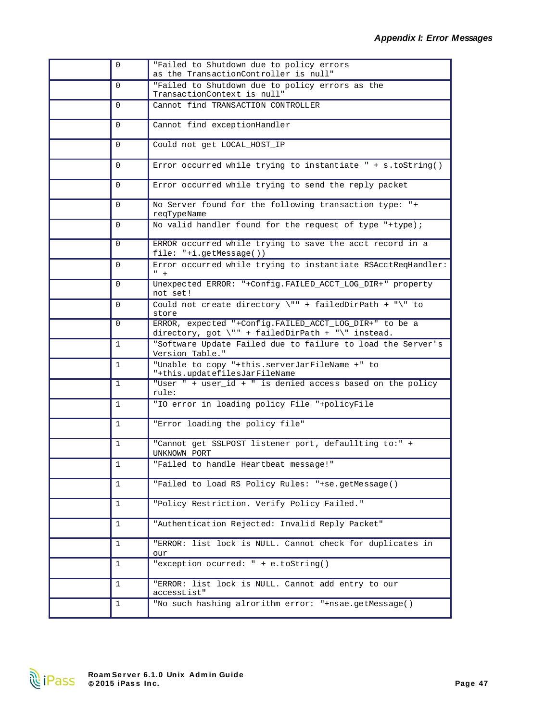| 0            | "Failed to Shutdown due to policy errors<br>as the TransactionController is null"                            |  |  |  |  |  |
|--------------|--------------------------------------------------------------------------------------------------------------|--|--|--|--|--|
| $\Omega$     | "Failed to Shutdown due to policy errors as the<br>TransactionContext is null"                               |  |  |  |  |  |
| 0            | Cannot find TRANSACTION CONTROLLER                                                                           |  |  |  |  |  |
| $\Omega$     | Cannot find exception Handler                                                                                |  |  |  |  |  |
| $\Omega$     | Could not get LOCAL_HOST_IP                                                                                  |  |  |  |  |  |
| 0            | Error occurred while trying to instantiate $" + s.toString()$                                                |  |  |  |  |  |
| $\Omega$     | Error occurred while trying to send the reply packet                                                         |  |  |  |  |  |
| $\Omega$     | No Server found for the following transaction type: "+<br>reqTypeName                                        |  |  |  |  |  |
| 0            | No valid handler found for the request of type "+type);                                                      |  |  |  |  |  |
| 0            | ERROR occurred while trying to save the acct record in a<br>$file: "+i.getMessage())$                        |  |  |  |  |  |
| $\Omega$     | Error occurred while trying to instantiate RSAcctReqHandler:<br>$" +$                                        |  |  |  |  |  |
| 0            | Unexpected ERROR: "+Config.FAILED_ACCT_LOG_DIR+" property<br>not set!                                        |  |  |  |  |  |
| $\Omega$     | Could not create directory $\Upsilon$ " + failedDirPath + " $\Upsilon$ to<br>store                           |  |  |  |  |  |
| 0            | ERROR, expected "+Config. FAILED_ACCT_LOG_DIR+" to be a<br>directory, got \"" + failedDirPath + "\" instead. |  |  |  |  |  |
| 1            | "Software Update Failed due to failure to load the Server's<br>Version Table."                               |  |  |  |  |  |
| $\mathbf 1$  | "Unable to copy "+this.serverJarFileName +" to<br>"+this.updatefilesJarFileName                              |  |  |  |  |  |
| 1            | "User " + user_id + " is denied access based on the policy<br>rule:                                          |  |  |  |  |  |
| 1            | "IO error in loading policy File "+policyFile                                                                |  |  |  |  |  |
| $\mathbf{1}$ | "Error loading the policy file"                                                                              |  |  |  |  |  |
| 1            | "Cannot get SSLPOST listener port, defaullting to:" +<br>UNKNOWN PORT                                        |  |  |  |  |  |
| 1            | "Failed to handle Heartbeat message!"                                                                        |  |  |  |  |  |
| $\mathbf 1$  | "Failed to load RS Policy Rules: "+se.getMessage()                                                           |  |  |  |  |  |
| 1            | "Policy Restriction. Verify Policy Failed."                                                                  |  |  |  |  |  |
| 1            | "Authentication Rejected: Invalid Reply Packet"                                                              |  |  |  |  |  |
| $\mathbf 1$  | "ERROR: list lock is NULL. Cannot check for duplicates in<br>our                                             |  |  |  |  |  |
| 1            | "exception ocurred: " + e.toString()                                                                         |  |  |  |  |  |
| 1            | "ERROR: list lock is NULL. Cannot add entry to our<br>accessList"                                            |  |  |  |  |  |
| 1            | "No such hashing alrorithm error: "+nsae.getMessage()                                                        |  |  |  |  |  |

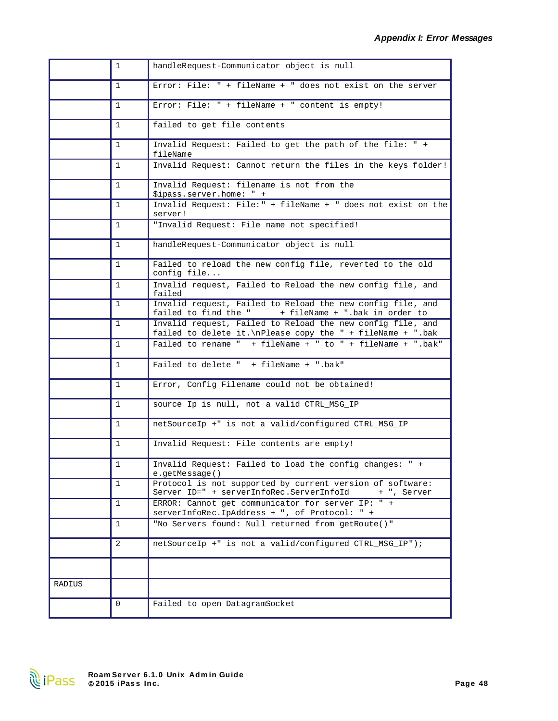|        | $\mathbf 1$  | handleRequest-Communicator object is null                                                                                |  |  |  |  |
|--------|--------------|--------------------------------------------------------------------------------------------------------------------------|--|--|--|--|
|        | $\mathbf 1$  | Error: File: " + fileName + " does not exist on the server                                                               |  |  |  |  |
|        | 1            | Error: File: " + fileName + " content is empty!                                                                          |  |  |  |  |
|        | $\mathbf 1$  | failed to get file contents                                                                                              |  |  |  |  |
|        | $\mathbf{1}$ | Invalid Request: Failed to get the path of the file: " +<br>fileName                                                     |  |  |  |  |
|        | $\mathbf{1}$ | Invalid Request: Cannot return the files in the keys folder!                                                             |  |  |  |  |
|        | $\mathbf 1$  | Invalid Request: filename is not from the<br>\$ipass.server.home: " +                                                    |  |  |  |  |
|        | $\mathbf{1}$ | Invalid Request: File:" + fileName + " does not exist on the<br>server!                                                  |  |  |  |  |
|        | 1            | "Invalid Request: File name not specified!                                                                               |  |  |  |  |
|        | 1            | handleRequest-Communicator object is null                                                                                |  |  |  |  |
|        | $\mathbf{1}$ | Failed to reload the new config file, reverted to the old<br>config file                                                 |  |  |  |  |
|        | 1            | Invalid request, Failed to Reload the new config file, and<br>failed                                                     |  |  |  |  |
|        | 1            | Invalid request, Failed to Reload the new config file, and<br>failed to find the " + fileName + ".bak in order to        |  |  |  |  |
|        | $\mathbf{1}$ | Invalid request, Failed to Reload the new config file, and<br>failed to delete it.\nPlease copy the " + fileName + ".bak |  |  |  |  |
|        | 1            | Failed to rename " $+$ fileName $+$ " to " $+$ fileName $+$ ".bak"                                                       |  |  |  |  |
|        | $\mathbf{1}$ | Failed to delete " + fileName + ".bak"                                                                                   |  |  |  |  |
|        | $\mathbf{1}$ | Error, Config Filename could not be obtained!                                                                            |  |  |  |  |
|        | 1            | source Ip is null, not a valid CTRL_MSG_IP                                                                               |  |  |  |  |
|        | $\mathbf{1}$ | netSourceIp +" is not a valid/configured CTRL_MSG_IP                                                                     |  |  |  |  |
|        | 1            | Invalid Request: File contents are empty!                                                                                |  |  |  |  |
|        | 1            | Invalid Request: Failed to load the config changes: " +<br>e.getMessage()                                                |  |  |  |  |
|        | $\mathbf 1$  | Protocol is not supported by current version of software:<br>Server ID=" + serverInfoRec.ServerInfoId<br>+ ", Server     |  |  |  |  |
|        | 1            | ERROR: Cannot get communicator for server IP: " +<br>serverInfoRec.IpAddress + ", of Protocol: " +                       |  |  |  |  |
|        | 1            | "No Servers found: Null returned from getRoute()"                                                                        |  |  |  |  |
|        | 2            | netSourceIp +" is not a valid/configured CTRL_MSG_IP");                                                                  |  |  |  |  |
|        |              |                                                                                                                          |  |  |  |  |
| RADIUS |              |                                                                                                                          |  |  |  |  |
|        | 0            | Failed to open DatagramSocket                                                                                            |  |  |  |  |

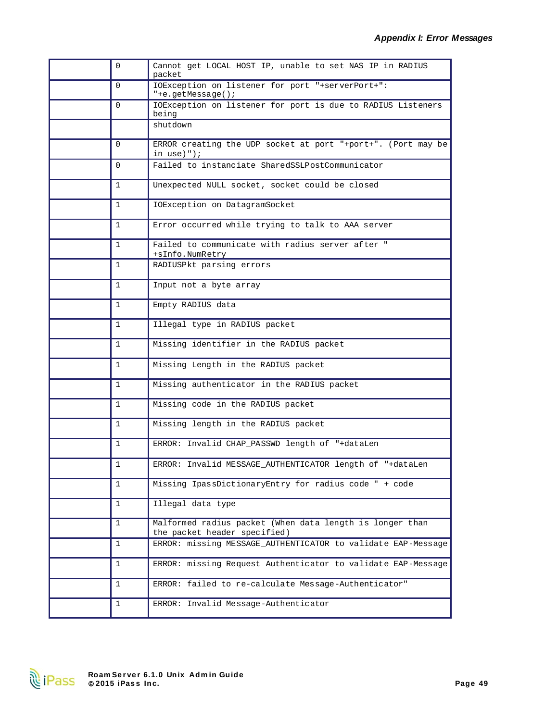| $\Omega$     | Cannot get LOCAL_HOST_IP, unable to set NAS_IP in RADIUS<br>packet                       |  |  |  |  |  |  |
|--------------|------------------------------------------------------------------------------------------|--|--|--|--|--|--|
| $\Omega$     | IOException on listener for port "+serverPort+":<br>$"+e.getMessage()$                   |  |  |  |  |  |  |
| 0            | IOException on listener for port is due to RADIUS Listeners<br>being                     |  |  |  |  |  |  |
|              | shutdown                                                                                 |  |  |  |  |  |  |
| $\Omega$     | ERROR creating the UDP socket at port "+port+". (Port may be<br>in use $)$ ");           |  |  |  |  |  |  |
| 0            | Failed to instanciate SharedSSLPostCommunicator                                          |  |  |  |  |  |  |
| 1            | Unexpected NULL socket, socket could be closed                                           |  |  |  |  |  |  |
| 1            | IOException on DatagramSocket                                                            |  |  |  |  |  |  |
| 1            | Error occurred while trying to talk to AAA server                                        |  |  |  |  |  |  |
| $\mathbf{1}$ | Failed to communicate with radius server after "<br>+sInfo.NumRetry                      |  |  |  |  |  |  |
| $\mathbf{1}$ | RADIUSPkt parsing errors                                                                 |  |  |  |  |  |  |
| 1            | Input not a byte array                                                                   |  |  |  |  |  |  |
| $\mathbf{1}$ | Empty RADIUS data                                                                        |  |  |  |  |  |  |
| 1            | Illegal type in RADIUS packet                                                            |  |  |  |  |  |  |
| 1            | Missing identifier in the RADIUS packet                                                  |  |  |  |  |  |  |
| 1            | Missing Length in the RADIUS packet                                                      |  |  |  |  |  |  |
| 1            | Missing authenticator in the RADIUS packet                                               |  |  |  |  |  |  |
| 1            | Missing code in the RADIUS packet                                                        |  |  |  |  |  |  |
| $\mathbf{1}$ | Missing length in the RADIUS packet                                                      |  |  |  |  |  |  |
| 1            | ERROR: Invalid CHAP_PASSWD length of "+dataLen                                           |  |  |  |  |  |  |
| 1            | ERROR: Invalid MESSAGE_AUTHENTICATOR length of "+dataLen                                 |  |  |  |  |  |  |
| 1            | Missing IpassDictionaryEntry for radius code " + code                                    |  |  |  |  |  |  |
| 1            | Illegal data type                                                                        |  |  |  |  |  |  |
| 1            | Malformed radius packet (When data length is longer than<br>the packet header specified) |  |  |  |  |  |  |
| 1            | ERROR: missing MESSAGE_AUTHENTICATOR to validate EAP-Message                             |  |  |  |  |  |  |
| 1            | ERROR: missing Request Authenticator to validate EAP-Message                             |  |  |  |  |  |  |
| 1            | ERROR: failed to re-calculate Message-Authenticator"                                     |  |  |  |  |  |  |
| 1            | ERROR: Invalid Message-Authenticator                                                     |  |  |  |  |  |  |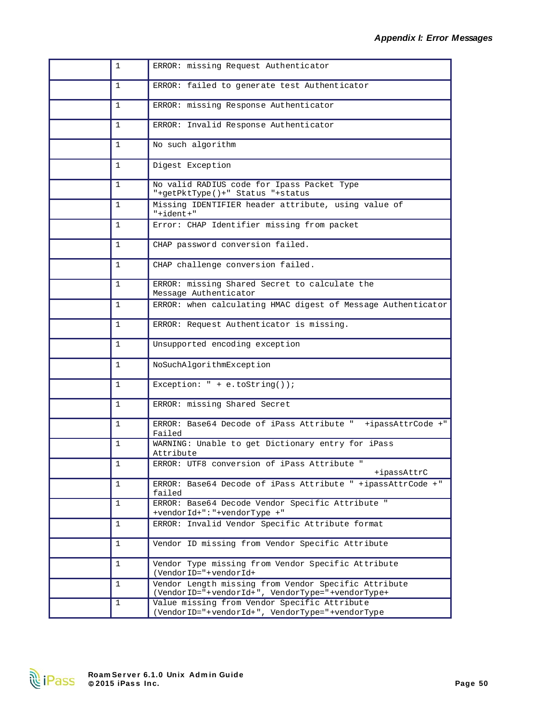| 1            | ERROR: missing Request Authenticator                                                                         |  |  |  |  |  |
|--------------|--------------------------------------------------------------------------------------------------------------|--|--|--|--|--|
| $\mathbf{1}$ | ERROR: failed to generate test Authenticator                                                                 |  |  |  |  |  |
| 1            | ERROR: missing Response Authenticator                                                                        |  |  |  |  |  |
| $\mathbf{1}$ | ERROR: Invalid Response Authenticator                                                                        |  |  |  |  |  |
| $\mathbf{1}$ | No such algorithm                                                                                            |  |  |  |  |  |
| $\mathbf{1}$ | Digest Exception                                                                                             |  |  |  |  |  |
| $\mathbf{1}$ | No valid RADIUS code for Ipass Packet Type<br>"+getPktType()+" Status "+status                               |  |  |  |  |  |
| $\mathbf{1}$ | Missing IDENTIFIER header attribute, using value of<br>"+ident+"                                             |  |  |  |  |  |
| $\mathbf{1}$ | Error: CHAP Identifier missing from packet                                                                   |  |  |  |  |  |
| $\mathbf{1}$ | CHAP password conversion failed.                                                                             |  |  |  |  |  |
| $\mathbf{1}$ | CHAP challenge conversion failed.                                                                            |  |  |  |  |  |
| $\mathbf{1}$ | ERROR: missing Shared Secret to calculate the<br>Message Authenticator                                       |  |  |  |  |  |
| $\mathbf{1}$ | ERROR: when calculating HMAC digest of Message Authenticator                                                 |  |  |  |  |  |
| $\mathbf{1}$ | ERROR: Request Authenticator is missing.                                                                     |  |  |  |  |  |
| 1            | Unsupported encoding exception                                                                               |  |  |  |  |  |
| $\mathbf{1}$ | NoSuchAlgorithmException                                                                                     |  |  |  |  |  |
| $\mathbf{1}$ | Exception: $" + e.toString()$ ;                                                                              |  |  |  |  |  |
| 1            | ERROR: missing Shared Secret                                                                                 |  |  |  |  |  |
| $\mathbf{1}$ | ERROR: Base64 Decode of iPass Attribute " +ipassAttrCode +"<br>Failed                                        |  |  |  |  |  |
| 1            | WARNING: Unable to get Dictionary entry for iPass<br>Attribute                                               |  |  |  |  |  |
| $\mathbf{1}$ | ERROR: UTF8 conversion of iPass Attribute "<br>+ipassAttrC                                                   |  |  |  |  |  |
| $\mathbf 1$  | ERROR: Base64 Decode of iPass Attribute " +ipassAttrCode +"<br>failed                                        |  |  |  |  |  |
| 1            | ERROR: Base64 Decode Vendor Specific Attribute "<br>+vendorId+": "+vendorType +"                             |  |  |  |  |  |
| 1            | ERROR: Invalid Vendor Specific Attribute format                                                              |  |  |  |  |  |
| $\mathbf 1$  | Vendor ID missing from Vendor Specific Attribute                                                             |  |  |  |  |  |
| 1            | Vendor Type missing from Vendor Specific Attribute<br>(Vendor ID="+vendor Id+                                |  |  |  |  |  |
| 1            | Vendor Length missing from Vendor Specific Attribute<br>(Vendor ID="+vendor Id+", Vendor Type="+vendor Type+ |  |  |  |  |  |
| $\mathbf 1$  | Value missing from Vendor Specific Attribute<br>(Vendor ID="+vendorId+", VendorType="+vendorType             |  |  |  |  |  |

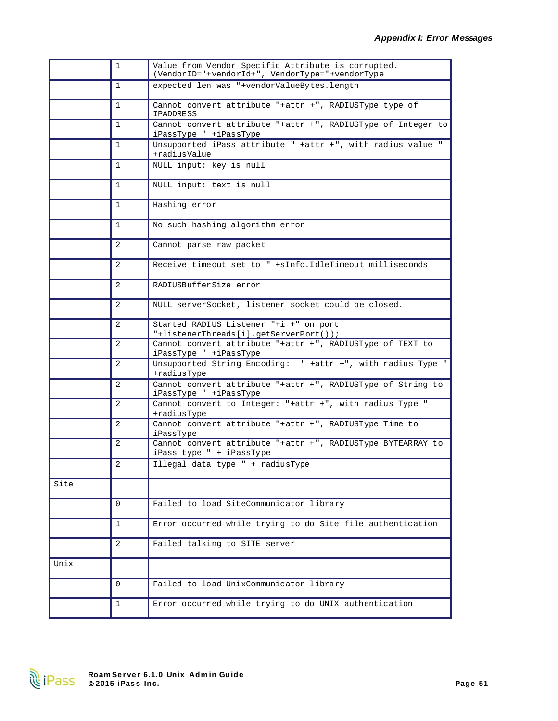|      | $\mathbf 1$    | Value from Vendor Specific Attribute is corrupted.<br>(Vendor ID="+vendorId+", VendorType="+vendorType |  |  |  |  |
|------|----------------|--------------------------------------------------------------------------------------------------------|--|--|--|--|
|      | $\mathbf 1$    | expected len was "+vendorValueBytes.length                                                             |  |  |  |  |
|      | $\mathbf{1}$   | Cannot convert attribute "+attr +", RADIUSType type of<br><b>IPADDRESS</b>                             |  |  |  |  |
|      | $\mathbf{1}$   | Cannot convert attribute "+attr +", RADIUSType of Integer to<br>iPassType " +iPassType                 |  |  |  |  |
|      | $\mathbf{1}$   | Unsupported iPass attribute " +attr +", with radius value "<br>+radiusValue                            |  |  |  |  |
|      | $\mathbf{1}$   | NULL input: key is null                                                                                |  |  |  |  |
|      | $\mathbf 1$    | NULL input: text is null                                                                               |  |  |  |  |
|      | $\mathbf{1}$   | Hashing error                                                                                          |  |  |  |  |
|      | $\mathbf 1$    | No such hashing algorithm error                                                                        |  |  |  |  |
|      | 2              | Cannot parse raw packet                                                                                |  |  |  |  |
|      | 2              | Receive timeout set to " +sInfo. IdleTimeout milliseconds                                              |  |  |  |  |
|      | 2              | RADIUSBufferSize error                                                                                 |  |  |  |  |
|      | 2              | NULL serverSocket, listener socket could be closed.                                                    |  |  |  |  |
|      | 2              | Started RADIUS Listener "+i +" on port<br>"+listenerThreads[i].getServerPort());                       |  |  |  |  |
|      | 2              | Cannot convert attribute "+attr +", RADIUSType of TEXT to<br>iPassType " +iPassType                    |  |  |  |  |
|      | 2              | Unsupported String Encoding: " +attr +", with radius Type "<br>+radiusType                             |  |  |  |  |
|      | 2              | Cannot convert attribute "+attr +", RADIUSType of String to<br>iPassType " +iPassType                  |  |  |  |  |
|      | 2              | Cannot convert to Integer: "+attr +", with radius Type "<br>+radiusType                                |  |  |  |  |
|      | $\overline{a}$ | Cannot convert attribute "+attr +", RADIUSType Time to<br>iPassType                                    |  |  |  |  |
|      | 2              | Cannot convert attribute "+attr +", RADIUSType BYTEARRAY to<br>iPass type " + iPassType                |  |  |  |  |
|      | 2              | Illegal data type " + radiusType                                                                       |  |  |  |  |
| Site |                |                                                                                                        |  |  |  |  |
|      | $\Omega$       | Failed to load SiteCommunicator library                                                                |  |  |  |  |
|      | 1              | Error occurred while trying to do Site file authentication                                             |  |  |  |  |
|      | 2              | Failed talking to SITE server                                                                          |  |  |  |  |
| Unix |                |                                                                                                        |  |  |  |  |
|      | $\mathbf 0$    | Failed to load UnixCommunicator library                                                                |  |  |  |  |
|      | 1              | Error occurred while trying to do UNIX authentication                                                  |  |  |  |  |

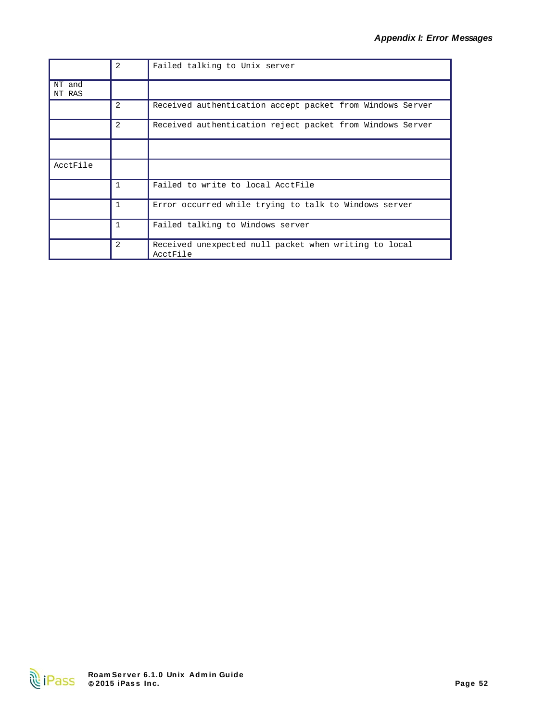|                  | $\mathfrak{D}$ | Failed talking to Unix server                                     |  |  |  |
|------------------|----------------|-------------------------------------------------------------------|--|--|--|
| NT and<br>NT RAS |                |                                                                   |  |  |  |
|                  | $\mathfrak{D}$ | Received authentication accept packet from Windows Server         |  |  |  |
|                  | 2              | Received authentication reject packet from Windows Server         |  |  |  |
|                  |                |                                                                   |  |  |  |
| AcctFile         |                |                                                                   |  |  |  |
|                  | 1              | Failed to write to local AcctFile                                 |  |  |  |
|                  | $\mathbf{1}$   | Error occurred while trying to talk to Windows server             |  |  |  |
|                  | 1              | Failed talking to Windows server                                  |  |  |  |
|                  | $\mathfrak{D}$ | Received unexpected null packet when writing to local<br>AcctFile |  |  |  |

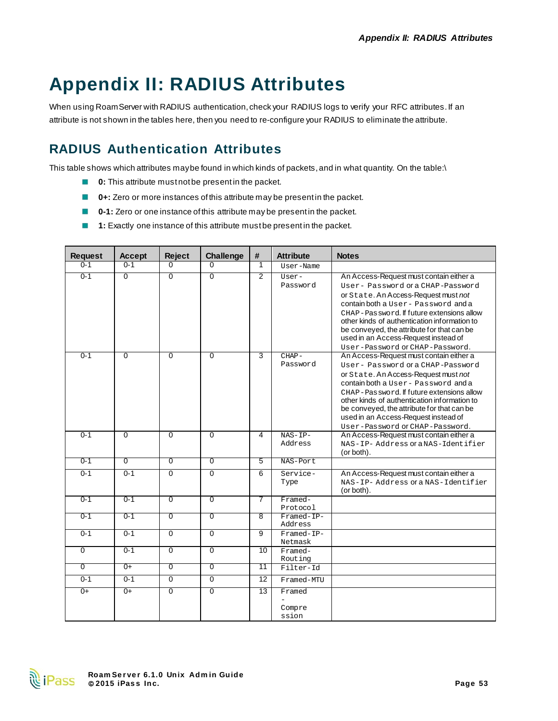# **Appendix II: RADIUS Attributes**

When using RoamServer with RADIUS authentication, check your RADIUS logs to verify your RFC attributes. If an attribute is not shown in the tables here, then you need to re-configure your RADIUS to eliminate the attribute.

## **RADIUS Authentication Attributes**

This table shows which attributes may be found in which kinds of packets, and in what quantity. On the table:\

- $\sim 10$ **0:** This attribute must not be present in the packet.
- B **0+:** Zero or more instances of this attribute may be present in the packet.
- **0-1:** Zero or one instance of this attribute may be present in the packet. B
- **1:** Exactly one instance of this attribute must be present in the packet.

| <b>Request</b> | <b>Accept</b>  | <b>Reject</b>  | <b>Challenge</b> | #               | <b>Attribute</b>          | <b>Notes</b>                                                                                                                                                                                                                                                                                                                                                                   |
|----------------|----------------|----------------|------------------|-----------------|---------------------------|--------------------------------------------------------------------------------------------------------------------------------------------------------------------------------------------------------------------------------------------------------------------------------------------------------------------------------------------------------------------------------|
| $0 - 1$        | $0 - 1$        | $\Omega$       | $\Omega$         | 1               | User-Name                 |                                                                                                                                                                                                                                                                                                                                                                                |
| $0 - 1$        | $\overline{0}$ | $\overline{0}$ | $\overline{0}$   | $\overline{2}$  | User-<br>Password         | An Access-Request must contain either a<br>User-Password Ora CHAP-Password<br>or State. An Access-Request must not<br>contain both a User-Password and a<br>CHAP-Password. If future extensions allow<br>other kinds of authentication information to<br>be conveyed, the attribute for that can be<br>used in an Access-Request instead of<br>User-Password Of CHAP-Password. |
| $0 - 1$        | $\Omega$       | $\Omega$       | $\Omega$         | $\overline{3}$  | $CHAP-$<br>Password       | An Access-Request must contain either a<br>User-Password Ora CHAP-Password<br>or State. An Access-Request must not<br>contain both a User-Password and a<br>CHAP-Password. If future extensions allow<br>other kinds of authentication information to<br>be conveyed, the attribute for that can be<br>used in an Access-Request instead of<br>User-Password Or CHAP-Password. |
| $0 - 1$        | $\overline{0}$ | $\overline{0}$ | $\overline{0}$   | $\overline{4}$  | NAS-IP-<br>Address        | An Access-Request must contain either a<br>NAS-IP-Address or aNAS-Identifier<br>(or both).                                                                                                                                                                                                                                                                                     |
| 0-1            | $\overline{0}$ | $\overline{0}$ | $\overline{0}$   | 5               | NAS-Port                  |                                                                                                                                                                                                                                                                                                                                                                                |
| $0 - 1$        | $0 - 1$        | $\overline{0}$ | $\Omega$         | 6               | Service-<br>Type          | An Access-Request must contain either a<br>NAS-IP-Address or a NAS-Identifier<br>(or both).                                                                                                                                                                                                                                                                                    |
| $0 - 1$        | $0 - 1$        | $\overline{0}$ | $\overline{0}$   | 7               | Framed-<br>Protocol       |                                                                                                                                                                                                                                                                                                                                                                                |
| $0 - 1$        | $0 - 1$        | $\overline{0}$ | $\overline{0}$   | 8               | Framed-IP-<br>Address     |                                                                                                                                                                                                                                                                                                                                                                                |
| $0 - 1$        | $0 - 1$        | $\overline{0}$ | $\overline{0}$   | $\overline{9}$  | Framed-IP-<br>Netmask     |                                                                                                                                                                                                                                                                                                                                                                                |
| $\overline{0}$ | $0 - 1$        | $\overline{0}$ | $\overline{0}$   | 10              | Framed-<br>Rout ing       |                                                                                                                                                                                                                                                                                                                                                                                |
| $\overline{0}$ | $0+$           | $\overline{0}$ | $\overline{0}$   | 11              | Filter-Id                 |                                                                                                                                                                                                                                                                                                                                                                                |
| $0 - 1$        | $0 - 1$        | $\overline{0}$ | $\overline{0}$   | 12              | Framed-MTU                |                                                                                                                                                                                                                                                                                                                                                                                |
| $0+$           | $0+$           | $\overline{0}$ | $\Omega$         | $\overline{13}$ | Framed<br>Compre<br>ssion |                                                                                                                                                                                                                                                                                                                                                                                |

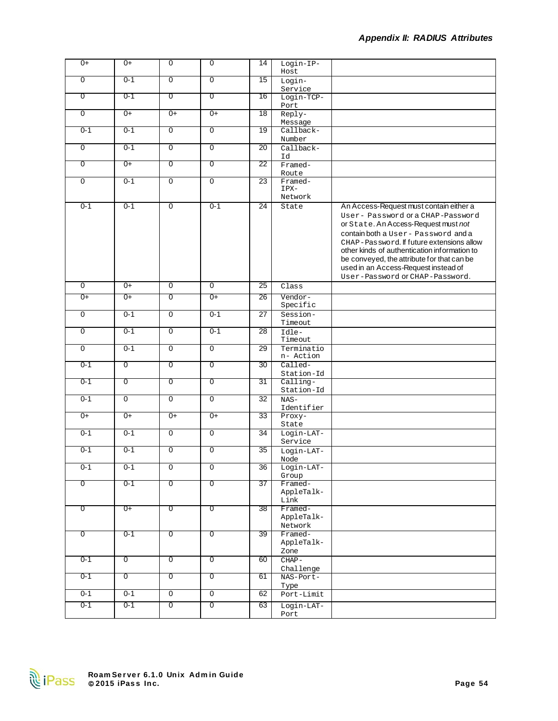| $0+$           | $0+$           | $\mathbf 0$    | $\overline{0}$ | $\overline{14}$ | Login-IP-<br>Host             |                                                                                                                                                                                                                                                                                                                                      |
|----------------|----------------|----------------|----------------|-----------------|-------------------------------|--------------------------------------------------------------------------------------------------------------------------------------------------------------------------------------------------------------------------------------------------------------------------------------------------------------------------------------|
| $\overline{0}$ | $0 - 1$        | $\overline{0}$ | $\overline{0}$ | 15              | Login-                        |                                                                                                                                                                                                                                                                                                                                      |
| $\overline{0}$ | 0-1            | $\overline{0}$ | $\overline{0}$ | 16              | Service<br>Login-TCP-         |                                                                                                                                                                                                                                                                                                                                      |
| $\overline{0}$ | $0+$           | $0+$           | $0+$           | 18              | Port<br>Reply-                |                                                                                                                                                                                                                                                                                                                                      |
|                |                |                |                |                 | Message                       |                                                                                                                                                                                                                                                                                                                                      |
| $0 - 1$        | $0 - 1$        | $\overline{0}$ | $\overline{0}$ | 19              | Callback-<br>Number           |                                                                                                                                                                                                                                                                                                                                      |
| $\overline{0}$ | $0 - 1$        | $\overline{0}$ | $\overline{0}$ | 20              | Callback-                     |                                                                                                                                                                                                                                                                                                                                      |
| $\overline{0}$ | $0+$           | $\overline{0}$ | $\overline{0}$ | 22              | Id<br>Framed-                 |                                                                                                                                                                                                                                                                                                                                      |
| $\overline{0}$ | $0 - 1$        | $\overline{0}$ | $\overline{0}$ | 23              | Route<br>Framed-              |                                                                                                                                                                                                                                                                                                                                      |
|                |                |                |                |                 | IPX-                          |                                                                                                                                                                                                                                                                                                                                      |
| $0 - 1$        | $0 - 1$        | $\overline{0}$ | $0 - 1$        | 24              | Network<br>State              | An Access-Request must contain either a                                                                                                                                                                                                                                                                                              |
|                |                |                |                |                 |                               | User- Password Ora CHAP-Password<br>or State. An Access-Request must not<br>contain both a User-Password and a<br>CHAP-Password. If future extensions allow<br>other kinds of authentication information to<br>be conveyed, the attribute for that can be<br>used in an Access-Request instead of<br>User-Password Of CHAP-Password. |
| $\overline{0}$ | $0+$           | $\overline{0}$ | $\overline{0}$ | 25              | Class                         |                                                                                                                                                                                                                                                                                                                                      |
| $0+$           | $0+$           | $\overline{0}$ | $0+$           | 26              | Vendor-<br>Specific           |                                                                                                                                                                                                                                                                                                                                      |
| $\overline{0}$ | $0 - 1$        | $\overline{0}$ | $0 - 1$        | 27              | Session-<br>Timeout           |                                                                                                                                                                                                                                                                                                                                      |
| $\overline{0}$ | $0 - 1$        | $\overline{0}$ | $0 - 1$        | 28              | Idle-                         |                                                                                                                                                                                                                                                                                                                                      |
| $\overline{0}$ | $0 - 1$        | $\overline{0}$ | $\overline{0}$ | 29              | Timeout<br>Terminatio         |                                                                                                                                                                                                                                                                                                                                      |
| $0 - 1$        | $\overline{0}$ | $\overline{0}$ | $\overline{0}$ | 30              | n- Action<br>Called-          |                                                                                                                                                                                                                                                                                                                                      |
|                | $\overline{0}$ | $\overline{0}$ | $\overline{0}$ |                 | Station-Id                    |                                                                                                                                                                                                                                                                                                                                      |
| $0 - 1$        |                |                |                | 31              | Calling-<br>Station-Id        |                                                                                                                                                                                                                                                                                                                                      |
| $0 - 1$        | $\overline{0}$ | $\overline{0}$ | $\overline{0}$ | $\overline{32}$ | $NAS-$<br>Identifier          |                                                                                                                                                                                                                                                                                                                                      |
| $0+$           | $0+$           | $0+$           | $0+$           | 33              | Proxy-                        |                                                                                                                                                                                                                                                                                                                                      |
| $0 - 1$        | $0 - 1$        | $\overline{0}$ | $\overline{0}$ | 34              | State<br>Login-LAT-           |                                                                                                                                                                                                                                                                                                                                      |
| $0 - 1$        | $0 - 1$        | $\overline{0}$ | $\overline{0}$ | 35              | Service                       |                                                                                                                                                                                                                                                                                                                                      |
|                |                |                |                |                 | Login-LAT-<br>Node            |                                                                                                                                                                                                                                                                                                                                      |
| $0 - 1$        | $0 - 1$        | 0              | 0              | 36              | Login-LAT-<br>Group           |                                                                                                                                                                                                                                                                                                                                      |
| $\overline{0}$ | $0 - 1$        | $\overline{0}$ | $\overline{0}$ | 37              | Framed-<br>AppleTalk-<br>Link |                                                                                                                                                                                                                                                                                                                                      |
| 0              | $0+$           | $\overline{0}$ | $\overline{0}$ | 38              | Framed-                       |                                                                                                                                                                                                                                                                                                                                      |
|                |                |                |                |                 | AppleTalk-<br>Network         |                                                                                                                                                                                                                                                                                                                                      |
| $\overline{0}$ | $0 - 1$        | $\overline{0}$ | $\overline{0}$ | 39              | Framed-<br>AppleTalk-<br>Zone |                                                                                                                                                                                                                                                                                                                                      |
| $0 - 1$        | $\overline{0}$ | $\overline{0}$ | $\overline{0}$ | 60              | $CHAP-$                       |                                                                                                                                                                                                                                                                                                                                      |
| $0 - 1$        | $\overline{0}$ | $\overline{0}$ | $\overline{0}$ | 61              | Challenge<br>NAS-Port-        |                                                                                                                                                                                                                                                                                                                                      |
| $0 - 1$        | $0 - 1$        | $\overline{0}$ | $\overline{0}$ | 62              | Type<br>Port-Limit            |                                                                                                                                                                                                                                                                                                                                      |
| $0 - 1$        | $0 - 1$        | $\overline{0}$ | $\overline{0}$ | 63              | Login-LAT-                    |                                                                                                                                                                                                                                                                                                                                      |
|                |                |                |                |                 | Port                          |                                                                                                                                                                                                                                                                                                                                      |

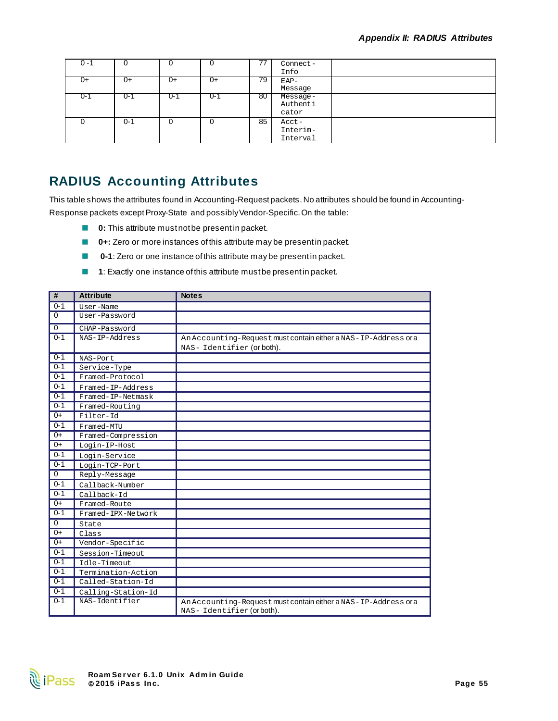| 0 - 1 | O       |      |         | 77 | Connect-<br>Info                 |
|-------|---------|------|---------|----|----------------------------------|
| 0+    | $0+$    | $0+$ | $0+$    | 79 | $EAP-$<br>Message                |
| 0-1   | 0-1     | 0-1  | $0 - 1$ | 80 | Message-<br>Authenti<br>cator    |
|       | $0 - 1$ | 0    | 0       | 85 | $Acct -$<br>Interim-<br>Interval |

## **RADIUS Accounting Attributes**

This table shows the attributes found in Accounting-Request packets. No attributes should be found in Accounting-Response packets except Proxy-State and possibly Vendor-Specific. On the table:

- **0:** This attribute must not be present in packet.
- **0+:** Zero or more instances of this attribute may be present in packet.
- B **0-1**: Zero or one instance of this attribute may be present in packet.
- **1**: Exactly one instance of this attribute must be present in packet. þ.

| #              | <b>Attribute</b>   | <b>Notes</b>                                                                                 |
|----------------|--------------------|----------------------------------------------------------------------------------------------|
| $0 - 1$        | User-Name          |                                                                                              |
| $\mathbf 0$    | User-Password      |                                                                                              |
| $\overline{0}$ | CHAP-Password      |                                                                                              |
| $0 - 1$        | NAS-IP-Address     | An Accounting-Request must contain either a NAS-IP-Address or a                              |
|                |                    | NAS- Identifier (or both).                                                                   |
| $0 - 1$        | NAS-Port           |                                                                                              |
| $0 - 1$        | Service-Type       |                                                                                              |
| $0 - 1$        | Framed-Protocol    |                                                                                              |
| $0 - 1$        | Framed-IP-Address  |                                                                                              |
| $0 - 1$        | Framed-IP-Netmask  |                                                                                              |
| $0 - 1$        | Framed-Routing     |                                                                                              |
| $0+$           | Filter-Id          |                                                                                              |
| $0 - 1$        | Framed-MTU         |                                                                                              |
| $0+$           | Framed-Compression |                                                                                              |
| $0+$           | Login-IP-Host      |                                                                                              |
| $0 - 1$        | Login-Service      |                                                                                              |
| $0 - 1$        | Login-TCP-Port     |                                                                                              |
| $\mathbf 0$    | Reply-Message      |                                                                                              |
| $0 - 1$        | Callback-Number    |                                                                                              |
| $0 - 1$        | Callback-Id        |                                                                                              |
| $0+$           | Framed-Route       |                                                                                              |
| $0 - 1$        | Framed-IPX-Network |                                                                                              |
| 0              | State              |                                                                                              |
| $0+$           | Class              |                                                                                              |
| $0+$           | Vendor-Specific    |                                                                                              |
| $0 - 1$        | Session-Timeout    |                                                                                              |
| $0 - 1$        | Idle-Timeout       |                                                                                              |
| $0 - 1$        | Termination-Action |                                                                                              |
| $0 - 1$        | Called-Station-Id  |                                                                                              |
| $0 - 1$        | Calling-Station-Id |                                                                                              |
| $0 - 1$        | NAS-Identifier     | An Accounting-Request must contain either a NAS-IP-Address or a<br>NAS- Identifier (orboth). |

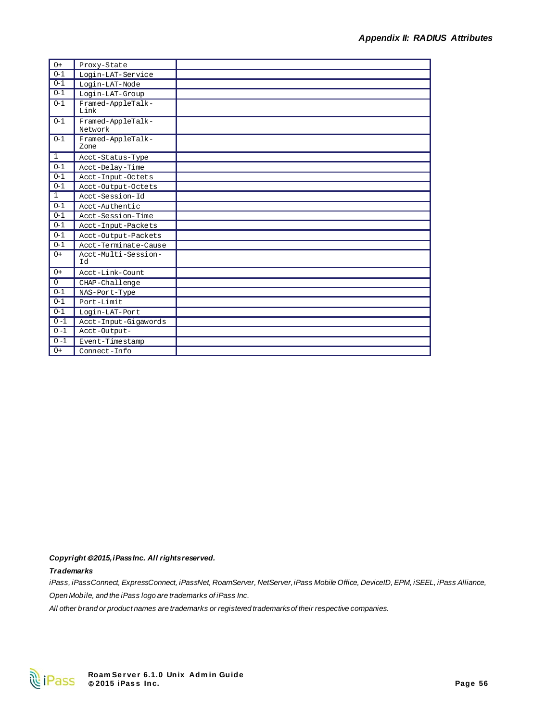| $0+$           | Proxy-State                  |  |
|----------------|------------------------------|--|
| $0 - 1$        | Login-LAT-Service            |  |
| $0 - 1$        | Login-LAT-Node               |  |
| $0 - 1$        | Login-LAT-Group              |  |
| $0 - 1$        | Framed-AppleTalk-<br>Link    |  |
| $0 - 1$        | Framed-AppleTalk-<br>Network |  |
| $0 - 1$        | Framed-AppleTalk-<br>Zone    |  |
| $\overline{1}$ | Acct-Status-Type             |  |
| $0 - 1$        | Acct-Delay-Time              |  |
| $0 - 1$        | Acct-Input-Octets            |  |
| $0 - 1$        | Acct-Output-Octets           |  |
| $\overline{1}$ | Acct-Session-Id              |  |
| $0 - 1$        | Acct-Authentic               |  |
| $0 - 1$        | Acct-Session-Time            |  |
| $0 - 1$        | Acct-Input-Packets           |  |
| $0 - 1$        | Acct-Output-Packets          |  |
| $0 - 1$        | Acct-Terminate-Cause         |  |
| $0+$           | Acct-Multi-Session-<br>Гd    |  |
| $0+$           | Acct-Link-Count              |  |
| $\mathbf 0$    | CHAP-Challenge               |  |
| $0 - 1$        | NAS-Port-Type                |  |
| $0 - 1$        | Port-Limit                   |  |
| $0 - 1$        | Login-LAT-Port               |  |
| $0 - 1$        | Acct-Input-Gigawords         |  |
| $0 - 1$        | Acct-Output-                 |  |
| $0 - 1$        | Event-Timestamp              |  |
| $0+$           | Connect-Info                 |  |
|                |                              |  |

#### *Copyright 2015, iPass Inc. All rights reserved.*

#### *Trademarks*

*iPass, iPassConnect, ExpressConnect, iPassNet, RoamServer, NetServer, iPass Mobile Office, DeviceID, EPM, iSEEL, iPass Alliance, Open Mobile, and the iPass logo are trademarks of iPass Inc.* 

*All other brand or product names are trademarks or registered trademarks of their respective companies.*